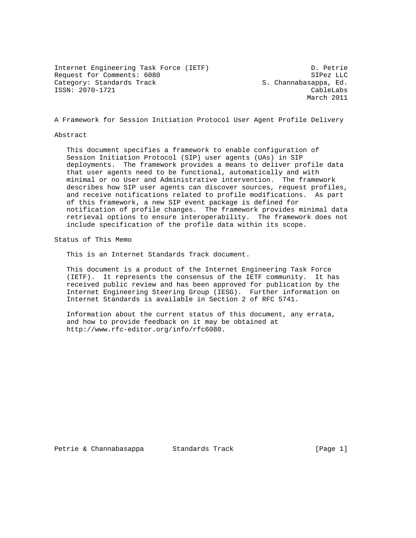Internet Engineering Task Force (IETF) D. Petrie Request for Comments: 6080 SIPez LLC<br>Category: Standards Track Same S. Channabasappa, Ed. ISSN: 2070-1721 CableLabs

S. Channabasappa, Ed. March 2011

A Framework for Session Initiation Protocol User Agent Profile Delivery

Abstract

 This document specifies a framework to enable configuration of Session Initiation Protocol (SIP) user agents (UAs) in SIP deployments. The framework provides a means to deliver profile data that user agents need to be functional, automatically and with minimal or no User and Administrative intervention. The framework describes how SIP user agents can discover sources, request profiles, and receive notifications related to profile modifications. As part of this framework, a new SIP event package is defined for notification of profile changes. The framework provides minimal data retrieval options to ensure interoperability. The framework does not include specification of the profile data within its scope.

Status of This Memo

This is an Internet Standards Track document.

 This document is a product of the Internet Engineering Task Force (IETF). It represents the consensus of the IETF community. It has received public review and has been approved for publication by the Internet Engineering Steering Group (IESG). Further information on Internet Standards is available in Section 2 of RFC 5741.

 Information about the current status of this document, any errata, and how to provide feedback on it may be obtained at http://www.rfc-editor.org/info/rfc6080.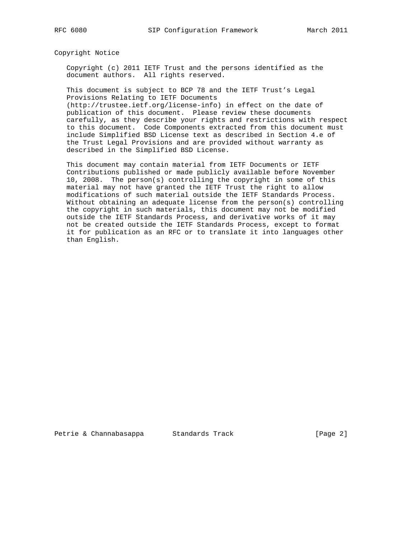Copyright Notice

 Copyright (c) 2011 IETF Trust and the persons identified as the document authors. All rights reserved.

 This document is subject to BCP 78 and the IETF Trust's Legal Provisions Relating to IETF Documents (http://trustee.ietf.org/license-info) in effect on the date of publication of this document. Please review these documents carefully, as they describe your rights and restrictions with respect to this document. Code Components extracted from this document must

 include Simplified BSD License text as described in Section 4.e of the Trust Legal Provisions and are provided without warranty as described in the Simplified BSD License.

 This document may contain material from IETF Documents or IETF Contributions published or made publicly available before November 10, 2008. The person(s) controlling the copyright in some of this material may not have granted the IETF Trust the right to allow modifications of such material outside the IETF Standards Process. Without obtaining an adequate license from the person(s) controlling the copyright in such materials, this document may not be modified outside the IETF Standards Process, and derivative works of it may not be created outside the IETF Standards Process, except to format it for publication as an RFC or to translate it into languages other than English.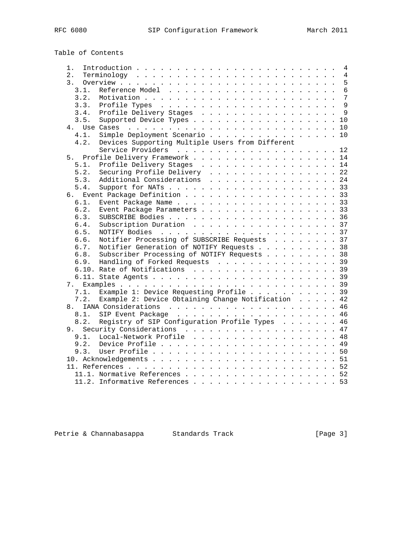# Table of Contents

| 1.               |                                                    |  |  | 4              |
|------------------|----------------------------------------------------|--|--|----------------|
| 2.               |                                                    |  |  | $\overline{4}$ |
| $\overline{3}$ . |                                                    |  |  | 5              |
| 3.1.             |                                                    |  |  | $6\phantom{1}$ |
| 3.2.             |                                                    |  |  | 7              |
| 3.3.             |                                                    |  |  | $\mathsf{Q}$   |
| 3.4.             | Profile Delivery Stages                            |  |  | $\overline{9}$ |
| 3.5.             | Supported Device Types 10                          |  |  |                |
|                  |                                                    |  |  |                |
| 4.1.             | Simple Deployment Scenario 10                      |  |  |                |
| 4.2.             | Devices Supporting Multiple Users from Different   |  |  |                |
|                  | Service Providers 12                               |  |  |                |
| 5.               | Profile Delivery Framework 14                      |  |  |                |
| 5.1.             | Profile Delivery Stages 14                         |  |  |                |
| 5.2.             | Securing Profile Delivery 22                       |  |  |                |
| 5.3.             | Additional Considerations 24                       |  |  |                |
| 5.4.             |                                                    |  |  |                |
| б.               | Event Package Definition 33                        |  |  |                |
| 6.1.             |                                                    |  |  |                |
| 6.2.             | Event Package Parameters 33                        |  |  |                |
| 6.3.             |                                                    |  |  |                |
| 6.4.             |                                                    |  |  |                |
| 6.5.             | Subscription Duration 37                           |  |  |                |
|                  |                                                    |  |  |                |
| 6.6.             | Notifier Processing of SUBSCRIBE Requests 37       |  |  |                |
| 6.7.             | Notifier Generation of NOTIFY Requests 38          |  |  |                |
| 6.8.             | Subscriber Processing of NOTIFY Requests 38        |  |  |                |
| 6.9.             | Handling of Forked Requests 39                     |  |  |                |
|                  | 6.10. Rate of Notifications 39                     |  |  |                |
|                  |                                                    |  |  |                |
| 7.               |                                                    |  |  |                |
| 7.1.             | Example 1: Device Requesting Profile 39            |  |  |                |
| 7.2.             | Example 2: Device Obtaining Change Notification 42 |  |  |                |
| 8.               |                                                    |  |  |                |
| 8.1.             |                                                    |  |  |                |
| 8.2.             | Registry of SIP Configuration Profile Types 46     |  |  |                |
|                  | 9. Security Considerations 47                      |  |  |                |
| 9.1.             | Local-Network Profile 48                           |  |  |                |
| 9.2.             |                                                    |  |  |                |
| 9.3.             |                                                    |  |  |                |
|                  |                                                    |  |  |                |
|                  |                                                    |  |  |                |
|                  | 11.1. Normative References 52                      |  |  |                |
|                  | 11.2. Informative References                       |  |  | . 53           |
|                  |                                                    |  |  |                |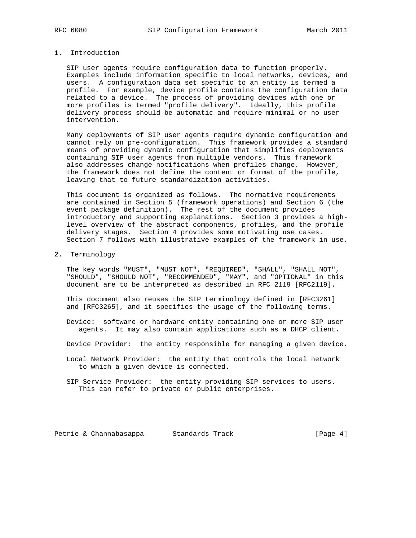# 1. Introduction

 SIP user agents require configuration data to function properly. Examples include information specific to local networks, devices, and users. A configuration data set specific to an entity is termed a profile. For example, device profile contains the configuration data related to a device. The process of providing devices with one or more profiles is termed "profile delivery". Ideally, this profile delivery process should be automatic and require minimal or no user intervention.

 Many deployments of SIP user agents require dynamic configuration and cannot rely on pre-configuration. This framework provides a standard means of providing dynamic configuration that simplifies deployments containing SIP user agents from multiple vendors. This framework also addresses change notifications when profiles change. However, the framework does not define the content or format of the profile, leaving that to future standardization activities.

 This document is organized as follows. The normative requirements are contained in Section 5 (framework operations) and Section 6 (the event package definition). The rest of the document provides introductory and supporting explanations. Section 3 provides a high level overview of the abstract components, profiles, and the profile delivery stages. Section 4 provides some motivating use cases. Section 7 follows with illustrative examples of the framework in use.

### 2. Terminology

 The key words "MUST", "MUST NOT", "REQUIRED", "SHALL", "SHALL NOT", "SHOULD", "SHOULD NOT", "RECOMMENDED", "MAY", and "OPTIONAL" in this document are to be interpreted as described in RFC 2119 [RFC2119].

 This document also reuses the SIP terminology defined in [RFC3261] and [RFC3265], and it specifies the usage of the following terms.

 Device: software or hardware entity containing one or more SIP user agents. It may also contain applications such as a DHCP client.

Device Provider: the entity responsible for managing a given device.

 Local Network Provider: the entity that controls the local network to which a given device is connected.

 SIP Service Provider: the entity providing SIP services to users. This can refer to private or public enterprises.

Petrie & Channabasappa Standards Track [Page 4]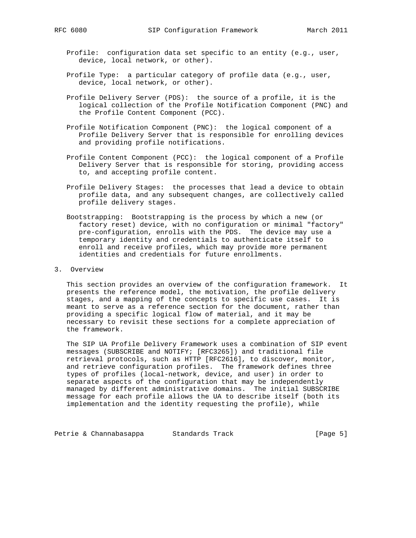- Profile: configuration data set specific to an entity (e.g., user, device, local network, or other).
- Profile Type: a particular category of profile data (e.g., user, device, local network, or other).
- Profile Delivery Server (PDS): the source of a profile, it is the logical collection of the Profile Notification Component (PNC) and the Profile Content Component (PCC).
- Profile Notification Component (PNC): the logical component of a Profile Delivery Server that is responsible for enrolling devices and providing profile notifications.
- Profile Content Component (PCC): the logical component of a Profile Delivery Server that is responsible for storing, providing access to, and accepting profile content.
- Profile Delivery Stages: the processes that lead a device to obtain profile data, and any subsequent changes, are collectively called profile delivery stages.
- Bootstrapping: Bootstrapping is the process by which a new (or factory reset) device, with no configuration or minimal "factory" pre-configuration, enrolls with the PDS. The device may use a temporary identity and credentials to authenticate itself to enroll and receive profiles, which may provide more permanent identities and credentials for future enrollments.
- 3. Overview

 This section provides an overview of the configuration framework. It presents the reference model, the motivation, the profile delivery stages, and a mapping of the concepts to specific use cases. It is meant to serve as a reference section for the document, rather than providing a specific logical flow of material, and it may be necessary to revisit these sections for a complete appreciation of the framework.

 The SIP UA Profile Delivery Framework uses a combination of SIP event messages (SUBSCRIBE and NOTIFY; [RFC3265]) and traditional file retrieval protocols, such as HTTP [RFC2616], to discover, monitor, and retrieve configuration profiles. The framework defines three types of profiles (local-network, device, and user) in order to separate aspects of the configuration that may be independently managed by different administrative domains. The initial SUBSCRIBE message for each profile allows the UA to describe itself (both its implementation and the identity requesting the profile), while

Petrie & Channabasappa Standards Track [Page 5]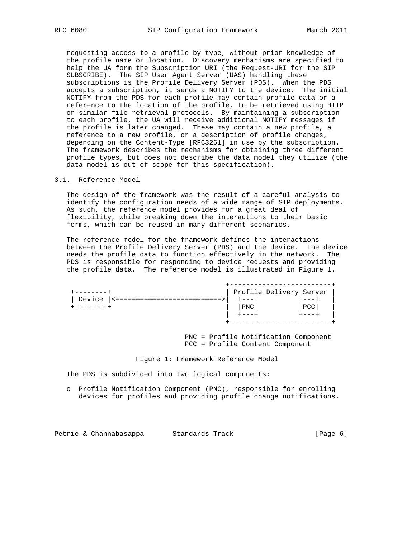requesting access to a profile by type, without prior knowledge of the profile name or location. Discovery mechanisms are specified to help the UA form the Subscription URI (the Request-URI for the SIP SUBSCRIBE). The SIP User Agent Server (UAS) handling these subscriptions is the Profile Delivery Server (PDS). When the PDS accepts a subscription, it sends a NOTIFY to the device. The initial NOTIFY from the PDS for each profile may contain profile data or a reference to the location of the profile, to be retrieved using HTTP or similar file retrieval protocols. By maintaining a subscription to each profile, the UA will receive additional NOTIFY messages if the profile is later changed. These may contain a new profile, a reference to a new profile, or a description of profile changes, depending on the Content-Type [RFC3261] in use by the subscription. The framework describes the mechanisms for obtaining three different profile types, but does not describe the data model they utilize (the data model is out of scope for this specification).

### 3.1. Reference Model

 The design of the framework was the result of a careful analysis to identify the configuration needs of a wide range of SIP deployments. As such, the reference model provides for a great deal of flexibility, while breaking down the interactions to their basic forms, which can be reused in many different scenarios.

 The reference model for the framework defines the interactions between the Profile Delivery Server (PDS) and the device. The device needs the profile data to function effectively in the network. The PDS is responsible for responding to device requests and providing the profile data. The reference model is illustrated in Figure 1.

|           |     | Profile Delivery Server |
|-----------|-----|-------------------------|
| Device    |     |                         |
| --------+ | PNC | PCC                     |
|           |     |                         |
|           |     |                         |

 PNC = Profile Notification Component PCC = Profile Content Component

Figure 1: Framework Reference Model

The PDS is subdivided into two logical components:

 o Profile Notification Component (PNC), responsible for enrolling devices for profiles and providing profile change notifications.

Petrie & Channabasappa Standards Track (Page 6)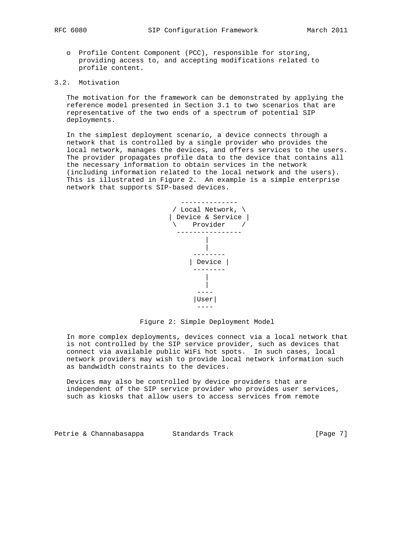- - o Profile Content Component (PCC), responsible for storing, providing access to, and accepting modifications related to profile content.

# 3.2. Motivation

 The motivation for the framework can be demonstrated by applying the reference model presented in Section 3.1 to two scenarios that are representative of the two ends of a spectrum of potential SIP deployments.

 In the simplest deployment scenario, a device connects through a network that is controlled by a single provider who provides the local network, manages the devices, and offers services to the users. The provider propagates profile data to the device that contains all the necessary information to obtain services in the network (including information related to the local network and the users). This is illustrated in Figure 2. An example is a simple enterprise network that supports SIP-based devices.



Figure 2: Simple Deployment Model

 In more complex deployments, devices connect via a local network that is not controlled by the SIP service provider, such as devices that connect via available public WiFi hot spots. In such cases, local network providers may wish to provide local network information such as bandwidth constraints to the devices.

 Devices may also be controlled by device providers that are independent of the SIP service provider who provides user services, such as kiosks that allow users to access services from remote

Petrie & Channabasappa Standards Track [Page 7]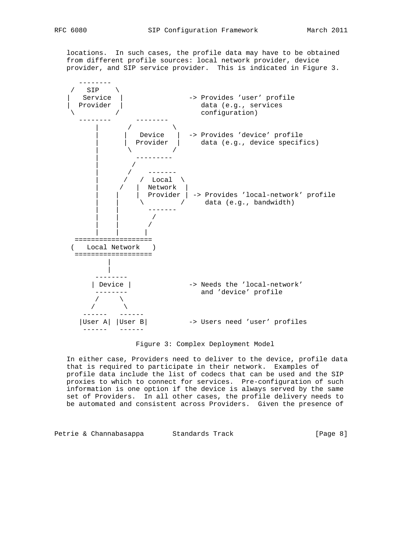locations. In such cases, the profile data may have to be obtained from different profile sources: local network provider, device provider, and SIP service provider. This is indicated in Figure 3.



Figure 3: Complex Deployment Model

 In either case, Providers need to deliver to the device, profile data that is required to participate in their network. Examples of profile data include the list of codecs that can be used and the SIP proxies to which to connect for services. Pre-configuration of such information is one option if the device is always served by the same set of Providers. In all other cases, the profile delivery needs to be automated and consistent across Providers. Given the presence of

Petrie & Channabasappa Standards Track (Page 8)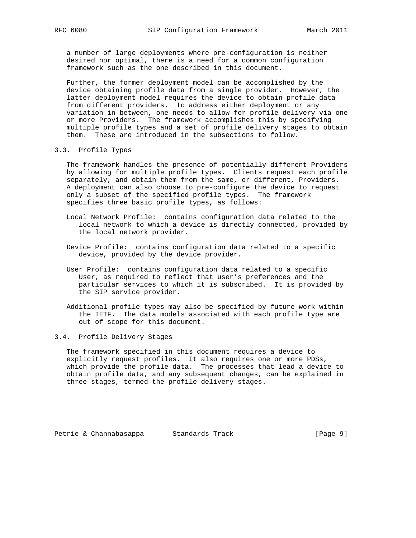a number of large deployments where pre-configuration is neither desired nor optimal, there is a need for a common configuration framework such as the one described in this document.

 Further, the former deployment model can be accomplished by the device obtaining profile data from a single provider. However, the latter deployment model requires the device to obtain profile data from different providers. To address either deployment or any variation in between, one needs to allow for profile delivery via one or more Providers. The framework accomplishes this by specifying multiple profile types and a set of profile delivery stages to obtain them. These are introduced in the subsections to follow.

### 3.3. Profile Types

 The framework handles the presence of potentially different Providers by allowing for multiple profile types. Clients request each profile separately, and obtain them from the same, or different, Providers. A deployment can also choose to pre-configure the device to request only a subset of the specified profile types. The framework specifies three basic profile types, as follows:

- Local Network Profile: contains configuration data related to the local network to which a device is directly connected, provided by the local network provider.
- Device Profile: contains configuration data related to a specific device, provided by the device provider.
- User Profile: contains configuration data related to a specific User, as required to reflect that user's preferences and the particular services to which it is subscribed. It is provided by the SIP service provider.
- Additional profile types may also be specified by future work within the IETF. The data models associated with each profile type are out of scope for this document.

# 3.4. Profile Delivery Stages

 The framework specified in this document requires a device to explicitly request profiles. It also requires one or more PDSs, which provide the profile data. The processes that lead a device to obtain profile data, and any subsequent changes, can be explained in three stages, termed the profile delivery stages.

Petrie & Channabasappa Standards Track [Page 9]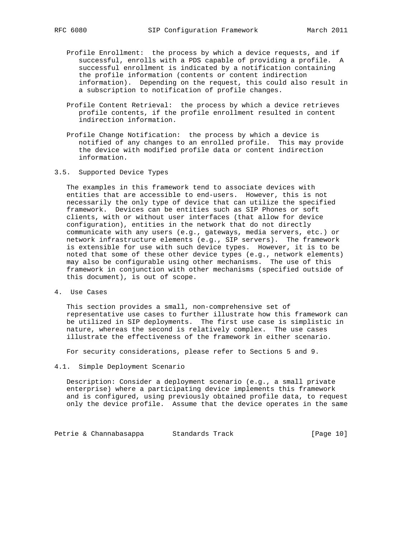- Profile Enrollment: the process by which a device requests, and if successful, enrolls with a PDS capable of providing a profile. A successful enrollment is indicated by a notification containing the profile information (contents or content indirection information). Depending on the request, this could also result in a subscription to notification of profile changes.
- Profile Content Retrieval: the process by which a device retrieves profile contents, if the profile enrollment resulted in content indirection information.
- Profile Change Notification: the process by which a device is notified of any changes to an enrolled profile. This may provide the device with modified profile data or content indirection information.
- 3.5. Supported Device Types

 The examples in this framework tend to associate devices with entities that are accessible to end-users. However, this is not necessarily the only type of device that can utilize the specified framework. Devices can be entities such as SIP Phones or soft clients, with or without user interfaces (that allow for device configuration), entities in the network that do not directly communicate with any users (e.g., gateways, media servers, etc.) or network infrastructure elements (e.g., SIP servers). The framework is extensible for use with such device types. However, it is to be noted that some of these other device types (e.g., network elements) may also be configurable using other mechanisms. The use of this framework in conjunction with other mechanisms (specified outside of this document), is out of scope.

4. Use Cases

 This section provides a small, non-comprehensive set of representative use cases to further illustrate how this framework can be utilized in SIP deployments. The first use case is simplistic in nature, whereas the second is relatively complex. The use cases illustrate the effectiveness of the framework in either scenario.

For security considerations, please refer to Sections 5 and 9.

4.1. Simple Deployment Scenario

 Description: Consider a deployment scenario (e.g., a small private enterprise) where a participating device implements this framework and is configured, using previously obtained profile data, to request only the device profile. Assume that the device operates in the same

Petrie & Channabasappa Standards Track [Page 10]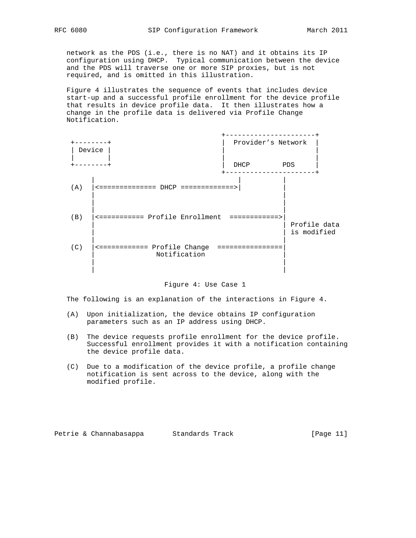network as the PDS (i.e., there is no NAT) and it obtains its IP configuration using DHCP. Typical communication between the device and the PDS will traverse one or more SIP proxies, but is not required, and is omitted in this illustration.

 Figure 4 illustrates the sequence of events that includes device start-up and a successful profile enrollment for the device profile that results in device profile data. It then illustrates how a change in the profile data is delivered via Profile Change Notification.



### Figure 4: Use Case 1

The following is an explanation of the interactions in Figure 4.

- (A) Upon initialization, the device obtains IP configuration parameters such as an IP address using DHCP.
- (B) The device requests profile enrollment for the device profile. Successful enrollment provides it with a notification containing the device profile data.
- (C) Due to a modification of the device profile, a profile change notification is sent across to the device, along with the modified profile.

|  |  | Petrie & Channabasappa | Standards Track |  | [Page 11] |  |  |
|--|--|------------------------|-----------------|--|-----------|--|--|
|--|--|------------------------|-----------------|--|-----------|--|--|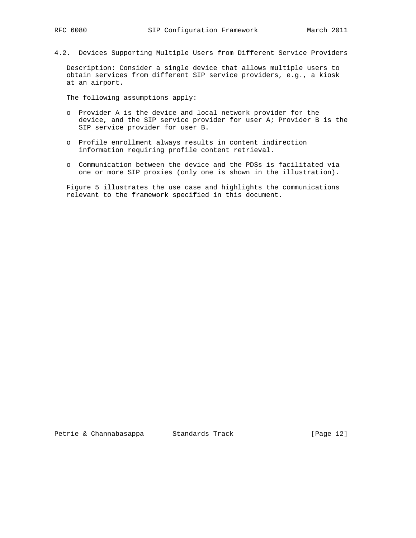- 
- 4.2. Devices Supporting Multiple Users from Different Service Providers

 Description: Consider a single device that allows multiple users to obtain services from different SIP service providers, e.g., a kiosk at an airport.

The following assumptions apply:

- o Provider A is the device and local network provider for the device, and the SIP service provider for user A; Provider B is the SIP service provider for user B.
- o Profile enrollment always results in content indirection information requiring profile content retrieval.
- o Communication between the device and the PDSs is facilitated via one or more SIP proxies (only one is shown in the illustration).

 Figure 5 illustrates the use case and highlights the communications relevant to the framework specified in this document.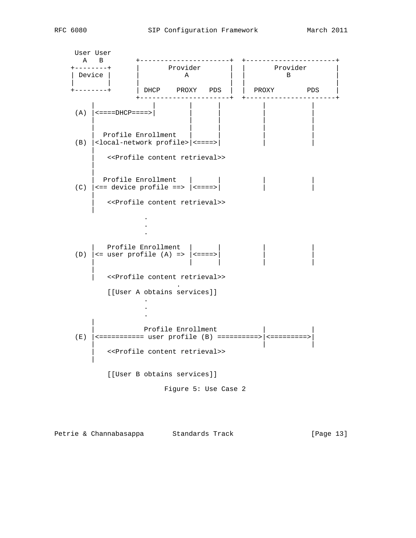User User<br>A B<br>---------+ A B +----------------------+ +----------------------+ +--------+ | Provider | | Provider | | Device | | | A | | | B | | | | | | | | +--------+ | DHCP PROXY PDS | | PROXY PDS | +----------------------+ +----------------------+ | | | | | | (A)  $|$  <====DHCP====> | | | | | | | | | | | Profile Enrollment (B)  $\vert$  < local-network profile >  $\vert$  < = = = = >  $\vert$  | | <<Profile content retrieval>> | | Profile Enrollment | (C)  $| ==$  device profile ==>  $| == == |$  | | <<Profile content retrieval>> | . . . Profile Enrollment | (D)  $| \leq$  user profile (A) =>  $| \leq$  ====> | | | | | | | <<Profile content retrieval>> **.** The contract of the contract of the contract of the contract of the contract of the contract of the contract of [[User A obtains services]] . . . | Profile Enrollment  $(E)$  |  $\leq$ ============ user profile (B) ==========> |  $\leq$ =========>> | | | | <<Profile content retrieval>> | [[User B obtains services]] Figure 5: Use Case 2

Petrie & Channabasappa Standards Track [Page 13]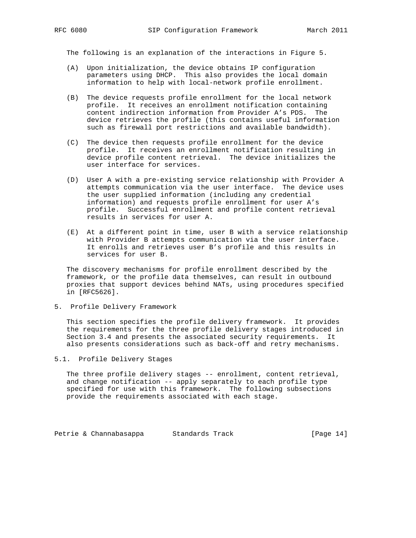The following is an explanation of the interactions in Figure 5.

- (A) Upon initialization, the device obtains IP configuration parameters using DHCP. This also provides the local domain information to help with local-network profile enrollment.
- (B) The device requests profile enrollment for the local network profile. It receives an enrollment notification containing content indirection information from Provider A's PDS. The device retrieves the profile (this contains useful information such as firewall port restrictions and available bandwidth).
- (C) The device then requests profile enrollment for the device profile. It receives an enrollment notification resulting in device profile content retrieval. The device initializes the user interface for services.
- (D) User A with a pre-existing service relationship with Provider A attempts communication via the user interface. The device uses the user supplied information (including any credential information) and requests profile enrollment for user A's profile. Successful enrollment and profile content retrieval results in services for user A.
- (E) At a different point in time, user B with a service relationship with Provider B attempts communication via the user interface. It enrolls and retrieves user B's profile and this results in services for user B.

 The discovery mechanisms for profile enrollment described by the framework, or the profile data themselves, can result in outbound proxies that support devices behind NATs, using procedures specified in [RFC5626].

5. Profile Delivery Framework

 This section specifies the profile delivery framework. It provides the requirements for the three profile delivery stages introduced in Section 3.4 and presents the associated security requirements. It also presents considerations such as back-off and retry mechanisms.

5.1. Profile Delivery Stages

 The three profile delivery stages -- enrollment, content retrieval, and change notification -- apply separately to each profile type specified for use with this framework. The following subsections provide the requirements associated with each stage.

Petrie & Channabasappa Standards Track [Page 14]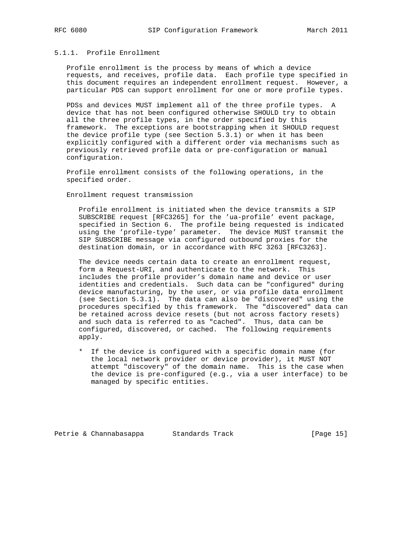# 5.1.1. Profile Enrollment

 Profile enrollment is the process by means of which a device requests, and receives, profile data. Each profile type specified in this document requires an independent enrollment request. However, a particular PDS can support enrollment for one or more profile types.

 PDSs and devices MUST implement all of the three profile types. A device that has not been configured otherwise SHOULD try to obtain all the three profile types, in the order specified by this framework. The exceptions are bootstrapping when it SHOULD request the device profile type (see Section 5.3.1) or when it has been explicitly configured with a different order via mechanisms such as previously retrieved profile data or pre-configuration or manual configuration.

 Profile enrollment consists of the following operations, in the specified order.

Enrollment request transmission

 Profile enrollment is initiated when the device transmits a SIP SUBSCRIBE request [RFC3265] for the 'ua-profile' event package, specified in Section 6. The profile being requested is indicated using the 'profile-type' parameter. The device MUST transmit the SIP SUBSCRIBE message via configured outbound proxies for the destination domain, or in accordance with RFC 3263 [RFC3263].

 The device needs certain data to create an enrollment request, form a Request-URI, and authenticate to the network. This includes the profile provider's domain name and device or user identities and credentials. Such data can be "configured" during device manufacturing, by the user, or via profile data enrollment (see Section 5.3.1). The data can also be "discovered" using the procedures specified by this framework. The "discovered" data can be retained across device resets (but not across factory resets) and such data is referred to as "cached". Thus, data can be configured, discovered, or cached. The following requirements apply.

 \* If the device is configured with a specific domain name (for the local network provider or device provider), it MUST NOT attempt "discovery" of the domain name. This is the case when the device is pre-configured (e.g., via a user interface) to be managed by specific entities.

Petrie & Channabasappa Standards Track [Page 15]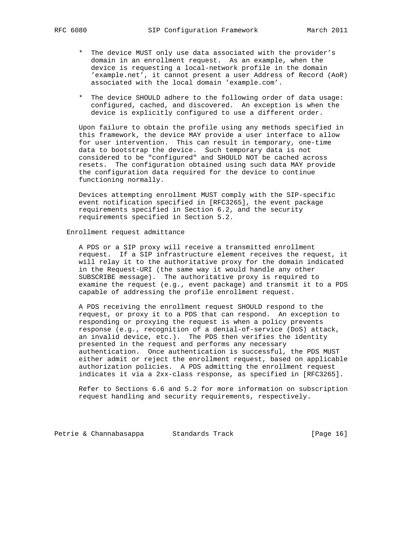- \* The device MUST only use data associated with the provider's domain in an enrollment request. As an example, when the device is requesting a local-network profile in the domain 'example.net', it cannot present a user Address of Record (AoR) associated with the local domain 'example.com'.
- \* The device SHOULD adhere to the following order of data usage: configured, cached, and discovered. An exception is when the device is explicitly configured to use a different order.

 Upon failure to obtain the profile using any methods specified in this framework, the device MAY provide a user interface to allow for user intervention. This can result in temporary, one-time data to bootstrap the device. Such temporary data is not considered to be "configured" and SHOULD NOT be cached across resets. The configuration obtained using such data MAY provide the configuration data required for the device to continue functioning normally.

 Devices attempting enrollment MUST comply with the SIP-specific event notification specified in [RFC3265], the event package requirements specified in Section 6.2, and the security requirements specified in Section 5.2.

# Enrollment request admittance

 A PDS or a SIP proxy will receive a transmitted enrollment request. If a SIP infrastructure element receives the request, it will relay it to the authoritative proxy for the domain indicated in the Request-URI (the same way it would handle any other SUBSCRIBE message). The authoritative proxy is required to examine the request (e.g., event package) and transmit it to a PDS capable of addressing the profile enrollment request.

 A PDS receiving the enrollment request SHOULD respond to the request, or proxy it to a PDS that can respond. An exception to responding or proxying the request is when a policy prevents response (e.g., recognition of a denial-of-service (DoS) attack, an invalid device, etc.). The PDS then verifies the identity presented in the request and performs any necessary authentication. Once authentication is successful, the PDS MUST either admit or reject the enrollment request, based on applicable authorization policies. A PDS admitting the enrollment request indicates it via a 2xx-class response, as specified in [RFC3265].

 Refer to Sections 6.6 and 5.2 for more information on subscription request handling and security requirements, respectively.

Petrie & Channabasappa Standards Track [Page 16]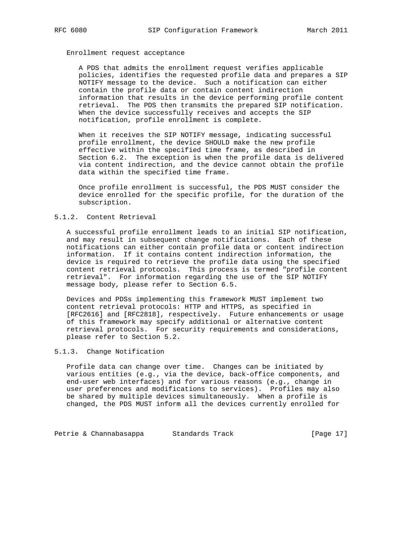# Enrollment request acceptance

 A PDS that admits the enrollment request verifies applicable policies, identifies the requested profile data and prepares a SIP NOTIFY message to the device. Such a notification can either contain the profile data or contain content indirection information that results in the device performing profile content retrieval. The PDS then transmits the prepared SIP notification. When the device successfully receives and accepts the SIP notification, profile enrollment is complete.

 When it receives the SIP NOTIFY message, indicating successful profile enrollment, the device SHOULD make the new profile effective within the specified time frame, as described in Section 6.2. The exception is when the profile data is delivered via content indirection, and the device cannot obtain the profile data within the specified time frame.

 Once profile enrollment is successful, the PDS MUST consider the device enrolled for the specific profile, for the duration of the subscription.

### 5.1.2. Content Retrieval

 A successful profile enrollment leads to an initial SIP notification, and may result in subsequent change notifications. Each of these notifications can either contain profile data or content indirection information. If it contains content indirection information, the device is required to retrieve the profile data using the specified content retrieval protocols. This process is termed "profile content retrieval". For information regarding the use of the SIP NOTIFY message body, please refer to Section 6.5.

 Devices and PDSs implementing this framework MUST implement two content retrieval protocols: HTTP and HTTPS, as specified in [RFC2616] and [RFC2818], respectively. Future enhancements or usage of this framework may specify additional or alternative content retrieval protocols. For security requirements and considerations, please refer to Section 5.2.

### 5.1.3. Change Notification

 Profile data can change over time. Changes can be initiated by various entities (e.g., via the device, back-office components, and end-user web interfaces) and for various reasons (e.g., change in user preferences and modifications to services). Profiles may also be shared by multiple devices simultaneously. When a profile is changed, the PDS MUST inform all the devices currently enrolled for

Petrie & Channabasappa Standards Track [Page 17]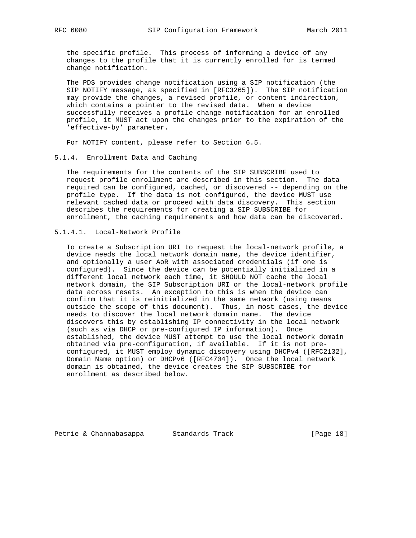the specific profile. This process of informing a device of any changes to the profile that it is currently enrolled for is termed change notification.

 The PDS provides change notification using a SIP notification (the SIP NOTIFY message, as specified in [RFC3265]). The SIP notification may provide the changes, a revised profile, or content indirection, which contains a pointer to the revised data. When a device successfully receives a profile change notification for an enrolled profile, it MUST act upon the changes prior to the expiration of the 'effective-by' parameter.

For NOTIFY content, please refer to Section 6.5.

## 5.1.4. Enrollment Data and Caching

 The requirements for the contents of the SIP SUBSCRIBE used to request profile enrollment are described in this section. The data required can be configured, cached, or discovered -- depending on the profile type. If the data is not configured, the device MUST use relevant cached data or proceed with data discovery. This section describes the requirements for creating a SIP SUBSCRIBE for enrollment, the caching requirements and how data can be discovered.

# 5.1.4.1. Local-Network Profile

 To create a Subscription URI to request the local-network profile, a device needs the local network domain name, the device identifier, and optionally a user AoR with associated credentials (if one is configured). Since the device can be potentially initialized in a different local network each time, it SHOULD NOT cache the local network domain, the SIP Subscription URI or the local-network profile data across resets. An exception to this is when the device can confirm that it is reinitialized in the same network (using means outside the scope of this document). Thus, in most cases, the device needs to discover the local network domain name. The device discovers this by establishing IP connectivity in the local network (such as via DHCP or pre-configured IP information). Once established, the device MUST attempt to use the local network domain obtained via pre-configuration, if available. If it is not pre configured, it MUST employ dynamic discovery using DHCPv4 ([RFC2132], Domain Name option) or DHCPv6 ([RFC4704]). Once the local network domain is obtained, the device creates the SIP SUBSCRIBE for enrollment as described below.

Petrie & Channabasappa Standards Track [Page 18]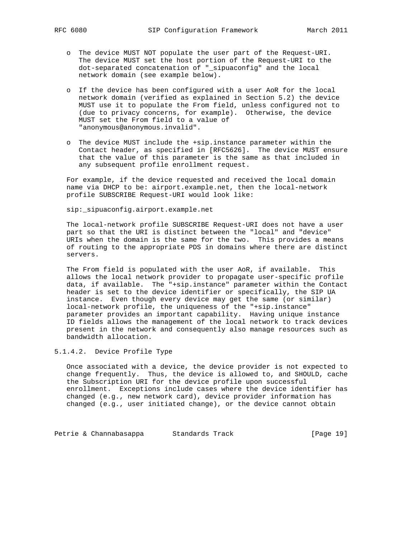- o The device MUST NOT populate the user part of the Request-URI. The device MUST set the host portion of the Request-URI to the dot-separated concatenation of "\_sipuaconfig" and the local network domain (see example below).
- o If the device has been configured with a user AoR for the local network domain (verified as explained in Section 5.2) the device MUST use it to populate the From field, unless configured not to (due to privacy concerns, for example). Otherwise, the device MUST set the From field to a value of "anonymous@anonymous.invalid".
- o The device MUST include the +sip.instance parameter within the Contact header, as specified in [RFC5626]. The device MUST ensure that the value of this parameter is the same as that included in any subsequent profile enrollment request.

 For example, if the device requested and received the local domain name via DHCP to be: airport.example.net, then the local-network profile SUBSCRIBE Request-URI would look like:

sip:\_sipuaconfig.airport.example.net

 The local-network profile SUBSCRIBE Request-URI does not have a user part so that the URI is distinct between the "local" and "device" URIs when the domain is the same for the two. This provides a means of routing to the appropriate PDS in domains where there are distinct servers.

 The From field is populated with the user AoR, if available. This allows the local network provider to propagate user-specific profile data, if available. The "+sip.instance" parameter within the Contact header is set to the device identifier or specifically, the SIP UA instance. Even though every device may get the same (or similar) local-network profile, the uniqueness of the "+sip.instance" parameter provides an important capability. Having unique instance ID fields allows the management of the local network to track devices present in the network and consequently also manage resources such as bandwidth allocation.

5.1.4.2. Device Profile Type

 Once associated with a device, the device provider is not expected to change frequently. Thus, the device is allowed to, and SHOULD, cache the Subscription URI for the device profile upon successful enrollment. Exceptions include cases where the device identifier has changed (e.g., new network card), device provider information has changed (e.g., user initiated change), or the device cannot obtain

Petrie & Channabasappa Standards Track [Page 19]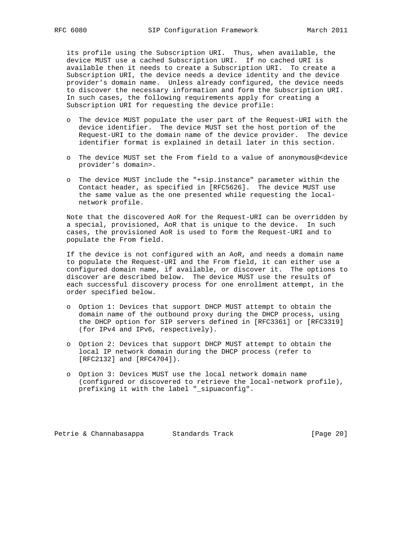its profile using the Subscription URI. Thus, when available, the device MUST use a cached Subscription URI. If no cached URI is available then it needs to create a Subscription URI. To create a Subscription URI, the device needs a device identity and the device provider's domain name. Unless already configured, the device needs to discover the necessary information and form the Subscription URI. In such cases, the following requirements apply for creating a Subscription URI for requesting the device profile:

- o The device MUST populate the user part of the Request-URI with the device identifier. The device MUST set the host portion of the Request-URI to the domain name of the device provider. The device identifier format is explained in detail later in this section.
- o The device MUST set the From field to a value of anonymous@<device provider's domain>.
- o The device MUST include the "+sip.instance" parameter within the Contact header, as specified in [RFC5626]. The device MUST use the same value as the one presented while requesting the local network profile.

 Note that the discovered AoR for the Request-URI can be overridden by a special, provisioned, AoR that is unique to the device. In such cases, the provisioned AoR is used to form the Request-URI and to populate the From field.

 If the device is not configured with an AoR, and needs a domain name to populate the Request-URI and the From field, it can either use a configured domain name, if available, or discover it. The options to discover are described below. The device MUST use the results of each successful discovery process for one enrollment attempt, in the order specified below.

- o Option 1: Devices that support DHCP MUST attempt to obtain the domain name of the outbound proxy during the DHCP process, using the DHCP option for SIP servers defined in [RFC3361] or [RFC3319] (for IPv4 and IPv6, respectively).
- o Option 2: Devices that support DHCP MUST attempt to obtain the local IP network domain during the DHCP process (refer to [RFC2132] and [RFC4704]).
- o Option 3: Devices MUST use the local network domain name (configured or discovered to retrieve the local-network profile), prefixing it with the label "\_sipuaconfig".

Petrie & Channabasappa Standards Track [Page 20]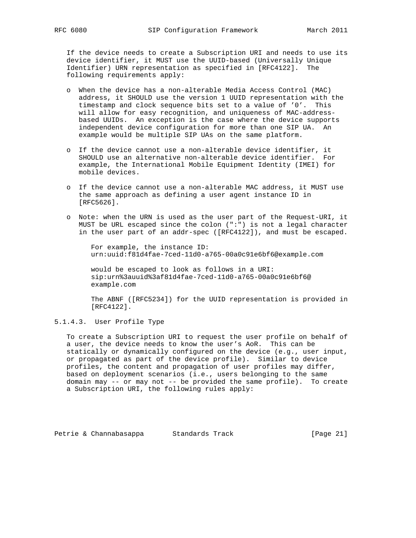If the device needs to create a Subscription URI and needs to use its device identifier, it MUST use the UUID-based (Universally Unique Identifier) URN representation as specified in [RFC4122]. The following requirements apply:

- o When the device has a non-alterable Media Access Control (MAC) address, it SHOULD use the version 1 UUID representation with the timestamp and clock sequence bits set to a value of '0'. This will allow for easy recognition, and uniqueness of MAC-address based UUIDs. An exception is the case where the device supports independent device configuration for more than one SIP UA. An example would be multiple SIP UAs on the same platform.
- o If the device cannot use a non-alterable device identifier, it SHOULD use an alternative non-alterable device identifier. For example, the International Mobile Equipment Identity (IMEI) for mobile devices.
- o If the device cannot use a non-alterable MAC address, it MUST use the same approach as defining a user agent instance ID in [RFC5626].
- o Note: when the URN is used as the user part of the Request-URI, it MUST be URL escaped since the colon (":") is not a legal character in the user part of an addr-spec ([RFC4122]), and must be escaped.

 For example, the instance ID: urn:uuid:f81d4fae-7ced-11d0-a765-00a0c91e6bf6@example.com

 would be escaped to look as follows in a URI: sip:urn%3auuid%3af81d4fae-7ced-11d0-a765-00a0c91e6bf6@ example.com

 The ABNF ([RFC5234]) for the UUID representation is provided in [RFC4122].

5.1.4.3. User Profile Type

 To create a Subscription URI to request the user profile on behalf of a user, the device needs to know the user's AoR. This can be statically or dynamically configured on the device (e.g., user input, or propagated as part of the device profile). Similar to device profiles, the content and propagation of user profiles may differ, based on deployment scenarios (i.e., users belonging to the same domain may -- or may not -- be provided the same profile). To create a Subscription URI, the following rules apply:

Petrie & Channabasappa Standards Track [Page 21]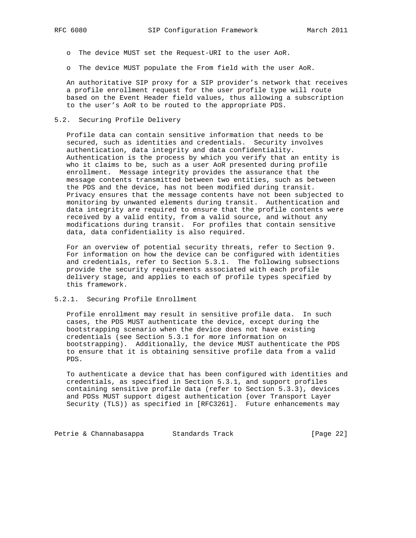- o The device MUST set the Request-URI to the user AoR.
- o The device MUST populate the From field with the user AoR.

 An authoritative SIP proxy for a SIP provider's network that receives a profile enrollment request for the user profile type will route based on the Event Header field values, thus allowing a subscription to the user's AoR to be routed to the appropriate PDS.

### 5.2. Securing Profile Delivery

 Profile data can contain sensitive information that needs to be secured, such as identities and credentials. Security involves authentication, data integrity and data confidentiality. Authentication is the process by which you verify that an entity is who it claims to be, such as a user AoR presented during profile enrollment. Message integrity provides the assurance that the message contents transmitted between two entities, such as between the PDS and the device, has not been modified during transit. Privacy ensures that the message contents have not been subjected to monitoring by unwanted elements during transit. Authentication and data integrity are required to ensure that the profile contents were received by a valid entity, from a valid source, and without any modifications during transit. For profiles that contain sensitive data, data confidentiality is also required.

 For an overview of potential security threats, refer to Section 9. For information on how the device can be configured with identities and credentials, refer to Section 5.3.1. The following subsections provide the security requirements associated with each profile delivery stage, and applies to each of profile types specified by this framework.

# 5.2.1. Securing Profile Enrollment

 Profile enrollment may result in sensitive profile data. In such cases, the PDS MUST authenticate the device, except during the bootstrapping scenario when the device does not have existing credentials (see Section 5.3.1 for more information on bootstrapping). Additionally, the device MUST authenticate the PDS to ensure that it is obtaining sensitive profile data from a valid PDS.

 To authenticate a device that has been configured with identities and credentials, as specified in Section 5.3.1, and support profiles containing sensitive profile data (refer to Section 5.3.3), devices and PDSs MUST support digest authentication (over Transport Layer Security (TLS)) as specified in [RFC3261]. Future enhancements may

Petrie & Channabasappa Standards Track [Page 22]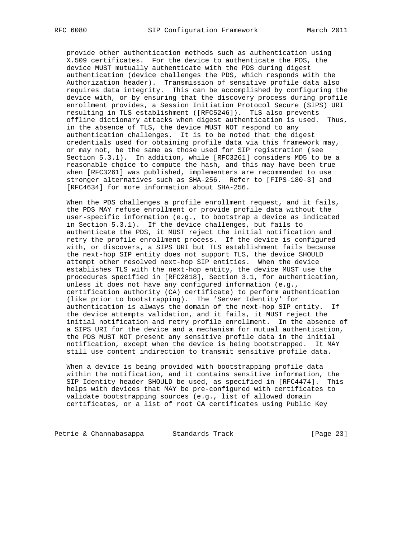provide other authentication methods such as authentication using X.509 certificates. For the device to authenticate the PDS, the device MUST mutually authenticate with the PDS during digest authentication (device challenges the PDS, which responds with the Authorization header). Transmission of sensitive profile data also requires data integrity. This can be accomplished by configuring the device with, or by ensuring that the discovery process during profile enrollment provides, a Session Initiation Protocol Secure (SIPS) URI resulting in TLS establishment ([RFC5246]). TLS also prevents offline dictionary attacks when digest authentication is used. Thus, in the absence of TLS, the device MUST NOT respond to any authentication challenges. It is to be noted that the digest credentials used for obtaining profile data via this framework may, or may not, be the same as those used for SIP registration (see Section 5.3.1). In addition, while [RFC3261] considers MD5 to be a reasonable choice to compute the hash, and this may have been true when [RFC3261] was published, implementers are recommended to use stronger alternatives such as SHA-256. Refer to [FIPS-180-3] and [RFC4634] for more information about SHA-256.

 When the PDS challenges a profile enrollment request, and it fails, the PDS MAY refuse enrollment or provide profile data without the user-specific information (e.g., to bootstrap a device as indicated in Section 5.3.1). If the device challenges, but fails to authenticate the PDS, it MUST reject the initial notification and retry the profile enrollment process. If the device is configured with, or discovers, a SIPS URI but TLS establishment fails because the next-hop SIP entity does not support TLS, the device SHOULD attempt other resolved next-hop SIP entities. When the device establishes TLS with the next-hop entity, the device MUST use the procedures specified in [RFC2818], Section 3.1, for authentication, unless it does not have any configured information (e.g., certification authority (CA) certificate) to perform authentication (like prior to bootstrapping). The 'Server Identity' for authentication is always the domain of the next-hop SIP entity. If the device attempts validation, and it fails, it MUST reject the initial notification and retry profile enrollment. In the absence of a SIPS URI for the device and a mechanism for mutual authentication, the PDS MUST NOT present any sensitive profile data in the initial notification, except when the device is being bootstrapped. It MAY still use content indirection to transmit sensitive profile data.

 When a device is being provided with bootstrapping profile data within the notification, and it contains sensitive information, the SIP Identity header SHOULD be used, as specified in [RFC4474]. This helps with devices that MAY be pre-configured with certificates to validate bootstrapping sources (e.g., list of allowed domain certificates, or a list of root CA certificates using Public Key

Petrie & Channabasappa Standards Track [Page 23]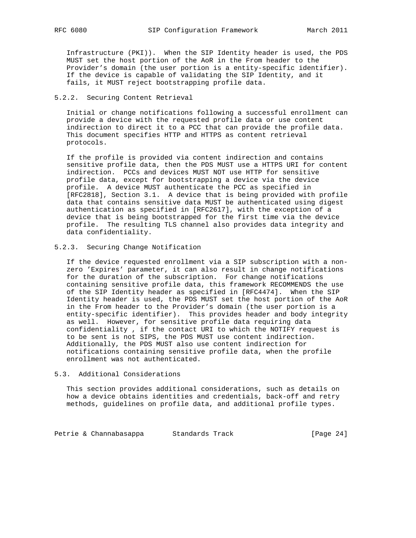Infrastructure (PKI)). When the SIP Identity header is used, the PDS MUST set the host portion of the AoR in the From header to the Provider's domain (the user portion is a entity-specific identifier). If the device is capable of validating the SIP Identity, and it fails, it MUST reject bootstrapping profile data.

# 5.2.2. Securing Content Retrieval

 Initial or change notifications following a successful enrollment can provide a device with the requested profile data or use content indirection to direct it to a PCC that can provide the profile data. This document specifies HTTP and HTTPS as content retrieval protocols.

 If the profile is provided via content indirection and contains sensitive profile data, then the PDS MUST use a HTTPS URI for content indirection. PCCs and devices MUST NOT use HTTP for sensitive profile data, except for bootstrapping a device via the device profile. A device MUST authenticate the PCC as specified in [RFC2818], Section 3.1. A device that is being provided with profile data that contains sensitive data MUST be authenticated using digest authentication as specified in [RFC2617], with the exception of a device that is being bootstrapped for the first time via the device profile. The resulting TLS channel also provides data integrity and data confidentiality.

### 5.2.3. Securing Change Notification

 If the device requested enrollment via a SIP subscription with a non zero 'Expires' parameter, it can also result in change notifications for the duration of the subscription. For change notifications containing sensitive profile data, this framework RECOMMENDS the use of the SIP Identity header as specified in [RFC4474]. When the SIP Identity header is used, the PDS MUST set the host portion of the AoR in the From header to the Provider's domain (the user portion is a entity-specific identifier). This provides header and body integrity as well. However, for sensitive profile data requiring data confidentiality , if the contact URI to which the NOTIFY request is to be sent is not SIPS, the PDS MUST use content indirection. Additionally, the PDS MUST also use content indirection for notifications containing sensitive profile data, when the profile enrollment was not authenticated.

### 5.3. Additional Considerations

 This section provides additional considerations, such as details on how a device obtains identities and credentials, back-off and retry methods, guidelines on profile data, and additional profile types.

Petrie & Channabasappa Standards Track [Page 24]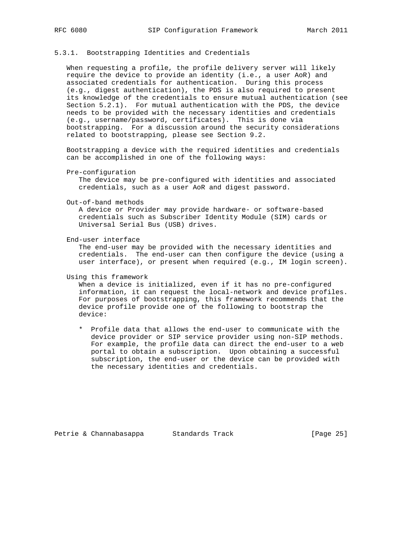### 5.3.1. Bootstrapping Identities and Credentials

 When requesting a profile, the profile delivery server will likely require the device to provide an identity (i.e., a user AoR) and associated credentials for authentication. During this process (e.g., digest authentication), the PDS is also required to present its knowledge of the credentials to ensure mutual authentication (see Section 5.2.1). For mutual authentication with the PDS, the device needs to be provided with the necessary identities and credentials (e.g., username/password, certificates). This is done via bootstrapping. For a discussion around the security considerations related to bootstrapping, please see Section 9.2.

 Bootstrapping a device with the required identities and credentials can be accomplished in one of the following ways:

Pre-configuration

 The device may be pre-configured with identities and associated credentials, such as a user AoR and digest password.

Out-of-band methods

 A device or Provider may provide hardware- or software-based credentials such as Subscriber Identity Module (SIM) cards or Universal Serial Bus (USB) drives.

End-user interface

 The end-user may be provided with the necessary identities and credentials. The end-user can then configure the device (using a user interface), or present when required (e.g., IM login screen).

Using this framework

 When a device is initialized, even if it has no pre-configured information, it can request the local-network and device profiles. For purposes of bootstrapping, this framework recommends that the device profile provide one of the following to bootstrap the device:

 \* Profile data that allows the end-user to communicate with the device provider or SIP service provider using non-SIP methods. For example, the profile data can direct the end-user to a web portal to obtain a subscription. Upon obtaining a successful subscription, the end-user or the device can be provided with the necessary identities and credentials.

Petrie & Channabasappa Standards Track [Page 25]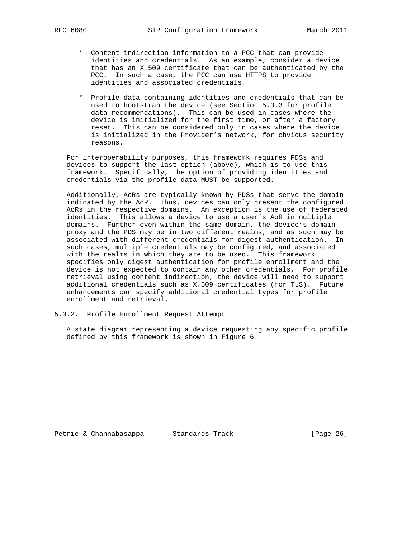- \* Content indirection information to a PCC that can provide identities and credentials. As an example, consider a device that has an X.509 certificate that can be authenticated by the PCC. In such a case, the PCC can use HTTPS to provide identities and associated credentials.
- \* Profile data containing identities and credentials that can be used to bootstrap the device (see Section 5.3.3 for profile data recommendations). This can be used in cases where the device is initialized for the first time, or after a factory reset. This can be considered only in cases where the device is initialized in the Provider's network, for obvious security reasons.

 For interoperability purposes, this framework requires PDSs and devices to support the last option (above), which is to use this framework. Specifically, the option of providing identities and credentials via the profile data MUST be supported.

 Additionally, AoRs are typically known by PDSs that serve the domain indicated by the AoR. Thus, devices can only present the configured AoRs in the respective domains. An exception is the use of federated identities. This allows a device to use a user's AoR in multiple domains. Further even within the same domain, the device's domain proxy and the PDS may be in two different realms, and as such may be associated with different credentials for digest authentication. In such cases, multiple credentials may be configured, and associated with the realms in which they are to be used. This framework specifies only digest authentication for profile enrollment and the device is not expected to contain any other credentials. For profile retrieval using content indirection, the device will need to support additional credentials such as X.509 certificates (for TLS). Future enhancements can specify additional credential types for profile enrollment and retrieval.

5.3.2. Profile Enrollment Request Attempt

 A state diagram representing a device requesting any specific profile defined by this framework is shown in Figure 6.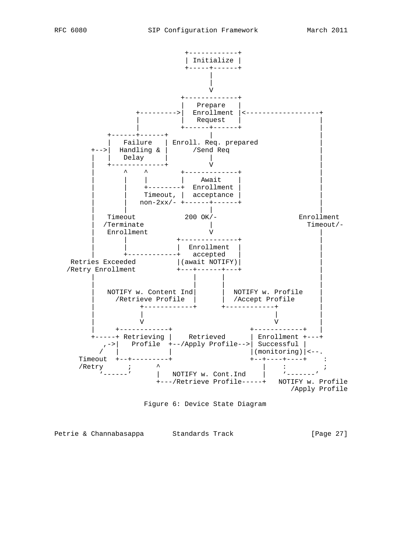

Figure 6: Device State Diagram

Petrie & Channabasappa Standards Track [Page 27]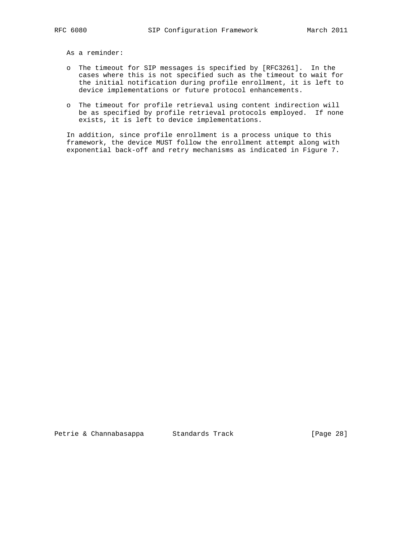As a reminder:

- o The timeout for SIP messages is specified by [RFC3261]. In the cases where this is not specified such as the timeout to wait for the initial notification during profile enrollment, it is left to device implementations or future protocol enhancements.
- o The timeout for profile retrieval using content indirection will be as specified by profile retrieval protocols employed. If none exists, it is left to device implementations.

 In addition, since profile enrollment is a process unique to this framework, the device MUST follow the enrollment attempt along with exponential back-off and retry mechanisms as indicated in Figure 7.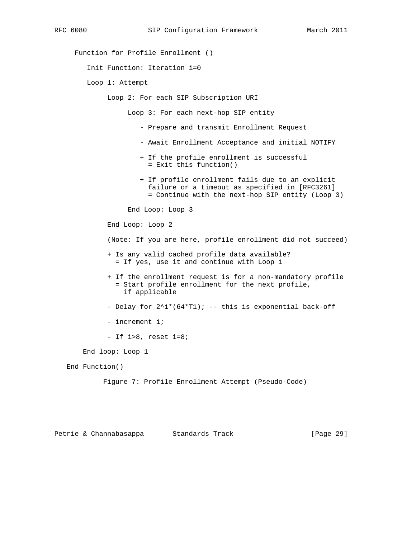Function for Profile Enrollment ()

Init Function: Iteration i=0

Loop 1: Attempt

Loop 2: For each SIP Subscription URI

Loop 3: For each next-hop SIP entity

- Prepare and transmit Enrollment Request
- Await Enrollment Acceptance and initial NOTIFY
- + If the profile enrollment is successful = Exit this function()
- + If profile enrollment fails due to an explicit failure or a timeout as specified in [RFC3261] = Continue with the next-hop SIP entity (Loop 3)

End Loop: Loop 3

End Loop: Loop 2

(Note: If you are here, profile enrollment did not succeed)

- + Is any valid cached profile data available? = If yes, use it and continue with Loop 1
- + If the enrollment request is for a non-mandatory profile = Start profile enrollment for the next profile, if applicable

- Delay for  $2^i*(64*T1);$  -- this is exponential back-off

- increment i;
- If i>8, reset i=8;

End loop: Loop 1

End Function()

Figure 7: Profile Enrollment Attempt (Pseudo-Code)

Petrie & Channabasappa Standards Track [Page 29]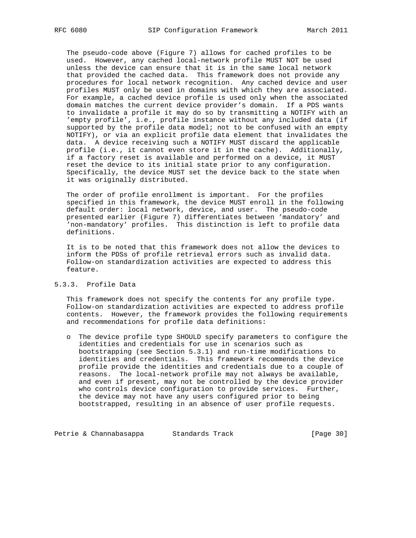The pseudo-code above (Figure 7) allows for cached profiles to be used. However, any cached local-network profile MUST NOT be used unless the device can ensure that it is in the same local network that provided the cached data. This framework does not provide any procedures for local network recognition. Any cached device and user profiles MUST only be used in domains with which they are associated. For example, a cached device profile is used only when the associated domain matches the current device provider's domain. If a PDS wants to invalidate a profile it may do so by transmitting a NOTIFY with an 'empty profile', i.e., profile instance without any included data (if supported by the profile data model; not to be confused with an empty NOTIFY), or via an explicit profile data element that invalidates the data. A device receiving such a NOTIFY MUST discard the applicable profile (i.e., it cannot even store it in the cache). Additionally, if a factory reset is available and performed on a device, it MUST reset the device to its initial state prior to any configuration. Specifically, the device MUST set the device back to the state when it was originally distributed.

 The order of profile enrollment is important. For the profiles specified in this framework, the device MUST enroll in the following default order: local network, device, and user. The pseudo-code presented earlier (Figure 7) differentiates between 'mandatory' and 'non-mandatory' profiles. This distinction is left to profile data definitions.

 It is to be noted that this framework does not allow the devices to inform the PDSs of profile retrieval errors such as invalid data. Follow-on standardization activities are expected to address this feature.

### 5.3.3. Profile Data

 This framework does not specify the contents for any profile type. Follow-on standardization activities are expected to address profile contents. However, the framework provides the following requirements and recommendations for profile data definitions:

 o The device profile type SHOULD specify parameters to configure the identities and credentials for use in scenarios such as bootstrapping (see Section 5.3.1) and run-time modifications to identities and credentials. This framework recommends the device profile provide the identities and credentials due to a couple of reasons. The local-network profile may not always be available, and even if present, may not be controlled by the device provider who controls device configuration to provide services. Further, the device may not have any users configured prior to being bootstrapped, resulting in an absence of user profile requests.

Petrie & Channabasappa Standards Track [Page 30]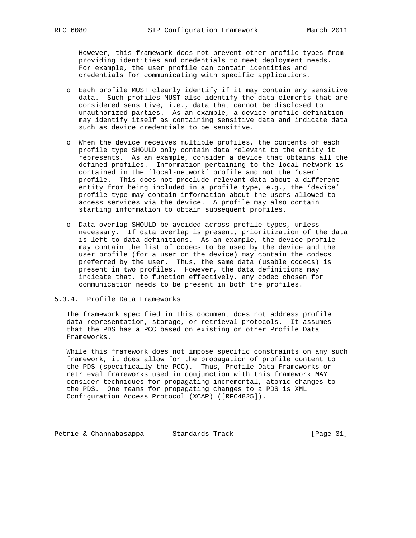However, this framework does not prevent other profile types from providing identities and credentials to meet deployment needs. For example, the user profile can contain identities and credentials for communicating with specific applications.

- o Each profile MUST clearly identify if it may contain any sensitive data. Such profiles MUST also identify the data elements that are considered sensitive, i.e., data that cannot be disclosed to unauthorized parties. As an example, a device profile definition may identify itself as containing sensitive data and indicate data such as device credentials to be sensitive.
- o When the device receives multiple profiles, the contents of each profile type SHOULD only contain data relevant to the entity it represents. As an example, consider a device that obtains all the defined profiles. Information pertaining to the local network is contained in the 'local-network' profile and not the 'user' profile. This does not preclude relevant data about a different entity from being included in a profile type, e.g., the 'device' profile type may contain information about the users allowed to access services via the device. A profile may also contain starting information to obtain subsequent profiles.
- o Data overlap SHOULD be avoided across profile types, unless necessary. If data overlap is present, prioritization of the data is left to data definitions. As an example, the device profile may contain the list of codecs to be used by the device and the user profile (for a user on the device) may contain the codecs preferred by the user. Thus, the same data (usable codecs) is present in two profiles. However, the data definitions may indicate that, to function effectively, any codec chosen for communication needs to be present in both the profiles.

### 5.3.4. Profile Data Frameworks

 The framework specified in this document does not address profile data representation, storage, or retrieval protocols. It assumes that the PDS has a PCC based on existing or other Profile Data Frameworks.

 While this framework does not impose specific constraints on any such framework, it does allow for the propagation of profile content to the PDS (specifically the PCC). Thus, Profile Data Frameworks or retrieval frameworks used in conjunction with this framework MAY consider techniques for propagating incremental, atomic changes to the PDS. One means for propagating changes to a PDS is XML Configuration Access Protocol (XCAP) ([RFC4825]).

Petrie & Channabasappa Standards Track [Page 31]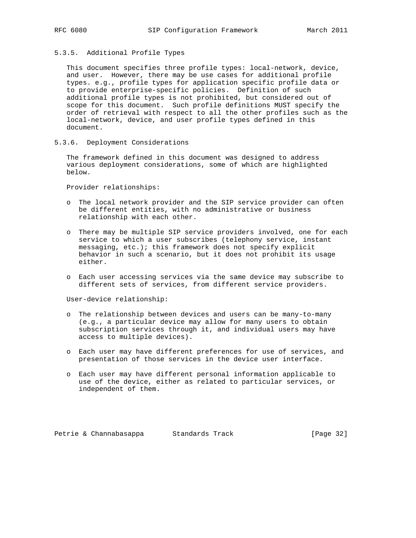### 5.3.5. Additional Profile Types

 This document specifies three profile types: local-network, device, and user. However, there may be use cases for additional profile types. e.g., profile types for application specific profile data or to provide enterprise-specific policies. Definition of such additional profile types is not prohibited, but considered out of scope for this document. Such profile definitions MUST specify the order of retrieval with respect to all the other profiles such as the local-network, device, and user profile types defined in this document.

5.3.6. Deployment Considerations

 The framework defined in this document was designed to address various deployment considerations, some of which are highlighted below.

Provider relationships:

- o The local network provider and the SIP service provider can often be different entities, with no administrative or business relationship with each other.
- o There may be multiple SIP service providers involved, one for each service to which a user subscribes (telephony service, instant messaging, etc.); this framework does not specify explicit behavior in such a scenario, but it does not prohibit its usage either.
- o Each user accessing services via the same device may subscribe to different sets of services, from different service providers.

User-device relationship:

- o The relationship between devices and users can be many-to-many (e.g., a particular device may allow for many users to obtain subscription services through it, and individual users may have access to multiple devices).
- o Each user may have different preferences for use of services, and presentation of those services in the device user interface.
- o Each user may have different personal information applicable to use of the device, either as related to particular services, or independent of them.

Petrie & Channabasappa Standards Track [Page 32]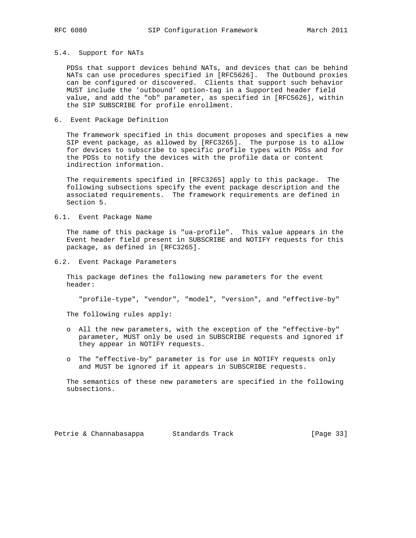### 5.4. Support for NATs

 PDSs that support devices behind NATs, and devices that can be behind NATs can use procedures specified in [RFC5626]. The Outbound proxies can be configured or discovered. Clients that support such behavior MUST include the 'outbound' option-tag in a Supported header field value, and add the "ob" parameter, as specified in [RFC5626], within the SIP SUBSCRIBE for profile enrollment.

## 6. Event Package Definition

 The framework specified in this document proposes and specifies a new SIP event package, as allowed by [RFC3265]. The purpose is to allow for devices to subscribe to specific profile types with PDSs and for the PDSs to notify the devices with the profile data or content indirection information.

 The requirements specified in [RFC3265] apply to this package. The following subsections specify the event package description and the associated requirements. The framework requirements are defined in Section 5.

### 6.1. Event Package Name

 The name of this package is "ua-profile". This value appears in the Event header field present in SUBSCRIBE and NOTIFY requests for this package, as defined in [RFC3265].

6.2. Event Package Parameters

 This package defines the following new parameters for the event header:

"profile-type", "vendor", "model", "version", and "effective-by"

The following rules apply:

- o All the new parameters, with the exception of the "effective-by" parameter, MUST only be used in SUBSCRIBE requests and ignored if they appear in NOTIFY requests.
- o The "effective-by" parameter is for use in NOTIFY requests only and MUST be ignored if it appears in SUBSCRIBE requests.

 The semantics of these new parameters are specified in the following subsections.

Petrie & Channabasappa Standards Track [Page 33]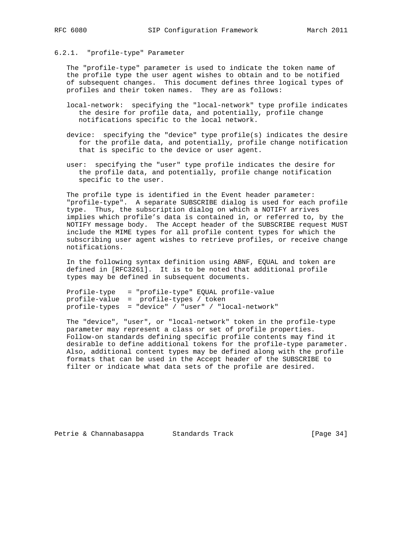# 6.2.1. "profile-type" Parameter

 The "profile-type" parameter is used to indicate the token name of the profile type the user agent wishes to obtain and to be notified of subsequent changes. This document defines three logical types of profiles and their token names. They are as follows:

- local-network: specifying the "local-network" type profile indicates the desire for profile data, and potentially, profile change notifications specific to the local network.
- device: specifying the "device" type profile(s) indicates the desire for the profile data, and potentially, profile change notification that is specific to the device or user agent.
- user: specifying the "user" type profile indicates the desire for the profile data, and potentially, profile change notification specific to the user.

 The profile type is identified in the Event header parameter: "profile-type". A separate SUBSCRIBE dialog is used for each profile type. Thus, the subscription dialog on which a NOTIFY arrives implies which profile's data is contained in, or referred to, by the NOTIFY message body. The Accept header of the SUBSCRIBE request MUST include the MIME types for all profile content types for which the subscribing user agent wishes to retrieve profiles, or receive change notifications.

 In the following syntax definition using ABNF, EQUAL and token are defined in [RFC3261]. It is to be noted that additional profile types may be defined in subsequent documents.

 Profile-type = "profile-type" EQUAL profile-value profile-value = profile-types / token profile-types = "device" / "user" / "local-network"

 The "device", "user", or "local-network" token in the profile-type parameter may represent a class or set of profile properties. Follow-on standards defining specific profile contents may find it desirable to define additional tokens for the profile-type parameter. Also, additional content types may be defined along with the profile formats that can be used in the Accept header of the SUBSCRIBE to filter or indicate what data sets of the profile are desired.

Petrie & Channabasappa Standards Track [Page 34]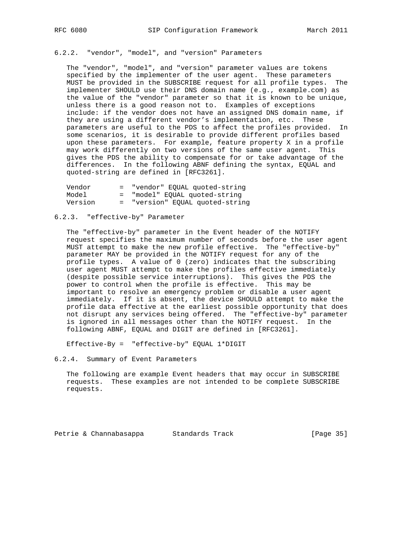# 6.2.2. "vendor", "model", and "version" Parameters

 The "vendor", "model", and "version" parameter values are tokens specified by the implementer of the user agent. These parameters MUST be provided in the SUBSCRIBE request for all profile types. The implementer SHOULD use their DNS domain name (e.g., example.com) as the value of the "vendor" parameter so that it is known to be unique, unless there is a good reason not to. Examples of exceptions include: if the vendor does not have an assigned DNS domain name, if they are using a different vendor's implementation, etc. These parameters are useful to the PDS to affect the profiles provided. In some scenarios, it is desirable to provide different profiles based upon these parameters. For example, feature property X in a profile may work differently on two versions of the same user agent. This gives the PDS the ability to compensate for or take advantage of the differences. In the following ABNF defining the syntax, EQUAL and quoted-string are defined in [RFC3261].

| Vendor  | = "vendor" EOUAL quoted-string |
|---------|--------------------------------|
| Model   | = "model" EOUAL quoted-string  |
| Version | "version" EQUAL quoted-string  |

### 6.2.3. "effective-by" Parameter

 The "effective-by" parameter in the Event header of the NOTIFY request specifies the maximum number of seconds before the user agent MUST attempt to make the new profile effective. The "effective-by" parameter MAY be provided in the NOTIFY request for any of the profile types. A value of 0 (zero) indicates that the subscribing user agent MUST attempt to make the profiles effective immediately (despite possible service interruptions). This gives the PDS the power to control when the profile is effective. This may be important to resolve an emergency problem or disable a user agent immediately. If it is absent, the device SHOULD attempt to make the profile data effective at the earliest possible opportunity that does not disrupt any services being offered. The "effective-by" parameter is ignored in all messages other than the NOTIFY request. In the following ABNF, EQUAL and DIGIT are defined in [RFC3261].

Effective-By = "effective-by" EQUAL 1\*DIGIT

# 6.2.4. Summary of Event Parameters

 The following are example Event headers that may occur in SUBSCRIBE requests. These examples are not intended to be complete SUBSCRIBE requests.

Petrie & Channabasappa Standards Track [Page 35]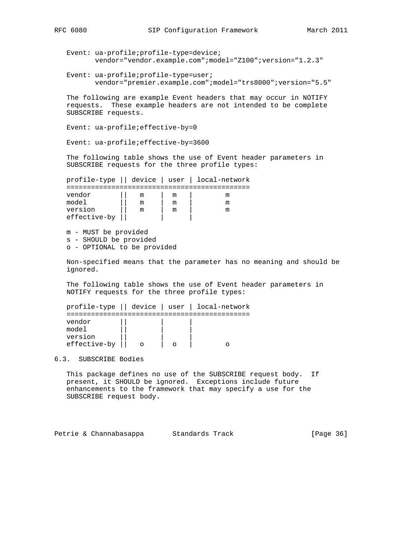```
 Event: ua-profile;profile-type=device;
        vendor="vendor.example.com";model="Z100";version="1.2.3"
```
 Event: ua-profile;profile-type=user; vendor="premier.example.com";model="trs8000";version="5.5"

 The following are example Event headers that may occur in NOTIFY requests. These example headers are not intended to be complete SUBSCRIBE requests.

Event: ua-profile;effective-by=0

Event: ua-profile;effective-by=3600

 The following table shows the use of Event header parameters in SUBSCRIBE requests for the three profile types:

|              |  |   | profile-type    device   user   local-network |
|--------------|--|---|-----------------------------------------------|
|              |  |   |                                               |
| vendor       |  | m |                                               |
| model        |  |   |                                               |
| version      |  | m |                                               |
| effective-by |  |   |                                               |

 m - MUST be provided s - SHOULD be provided o - OPTIONAL to be provided

 Non-specified means that the parameter has no meaning and should be ignored.

 The following table shows the use of Event header parameters in NOTIFY requests for the three profile types:

|                                            |  | profile-type    device   user   local-network |
|--------------------------------------------|--|-----------------------------------------------|
| vendor<br>model<br>version<br>effective-by |  |                                               |

6.3. SUBSCRIBE Bodies

 This package defines no use of the SUBSCRIBE request body. If present, it SHOULD be ignored. Exceptions include future enhancements to the framework that may specify a use for the SUBSCRIBE request body.

Petrie & Channabasappa Standards Track [Page 36]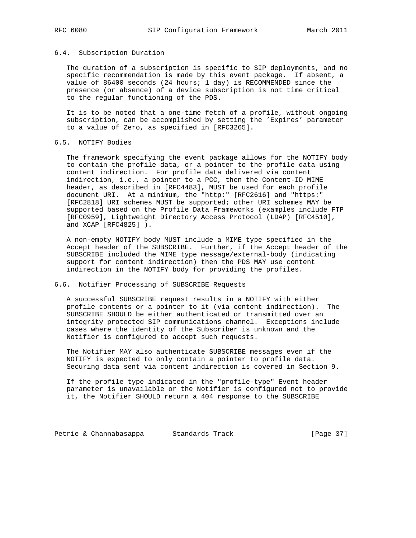### 6.4. Subscription Duration

 The duration of a subscription is specific to SIP deployments, and no specific recommendation is made by this event package. If absent, a value of 86400 seconds (24 hours; 1 day) is RECOMMENDED since the presence (or absence) of a device subscription is not time critical to the regular functioning of the PDS.

 It is to be noted that a one-time fetch of a profile, without ongoing subscription, can be accomplished by setting the 'Expires' parameter to a value of Zero, as specified in [RFC3265].

# 6.5. NOTIFY Bodies

 The framework specifying the event package allows for the NOTIFY body to contain the profile data, or a pointer to the profile data using content indirection. For profile data delivered via content indirection, i.e., a pointer to a PCC, then the Content-ID MIME header, as described in [RFC4483], MUST be used for each profile document URI. At a minimum, the "http:" [RFC2616] and "https:" [RFC2818] URI schemes MUST be supported; other URI schemes MAY be supported based on the Profile Data Frameworks (examples include FTP [RFC0959], Lightweight Directory Access Protocol (LDAP) [RFC4510], and XCAP [RFC4825] ).

 A non-empty NOTIFY body MUST include a MIME type specified in the Accept header of the SUBSCRIBE. Further, if the Accept header of the SUBSCRIBE included the MIME type message/external-body (indicating support for content indirection) then the PDS MAY use content indirection in the NOTIFY body for providing the profiles.

### 6.6. Notifier Processing of SUBSCRIBE Requests

 A successful SUBSCRIBE request results in a NOTIFY with either profile contents or a pointer to it (via content indirection). The SUBSCRIBE SHOULD be either authenticated or transmitted over an integrity protected SIP communications channel. Exceptions include cases where the identity of the Subscriber is unknown and the Notifier is configured to accept such requests.

 The Notifier MAY also authenticate SUBSCRIBE messages even if the NOTIFY is expected to only contain a pointer to profile data. Securing data sent via content indirection is covered in Section 9.

 If the profile type indicated in the "profile-type" Event header parameter is unavailable or the Notifier is configured not to provide it, the Notifier SHOULD return a 404 response to the SUBSCRIBE

Petrie & Channabasappa Standards Track [Page 37]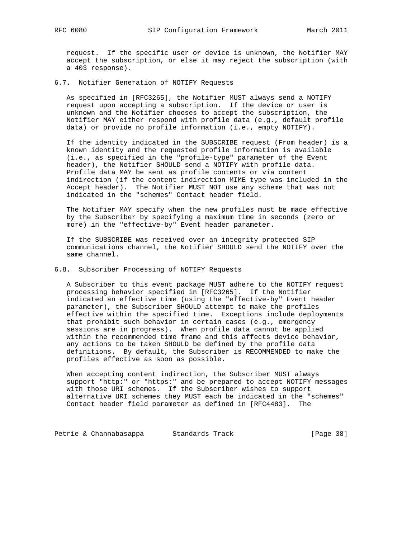request. If the specific user or device is unknown, the Notifier MAY accept the subscription, or else it may reject the subscription (with a 403 response).

6.7. Notifier Generation of NOTIFY Requests

 As specified in [RFC3265], the Notifier MUST always send a NOTIFY request upon accepting a subscription. If the device or user is unknown and the Notifier chooses to accept the subscription, the Notifier MAY either respond with profile data (e.g., default profile data) or provide no profile information (i.e., empty NOTIFY).

 If the identity indicated in the SUBSCRIBE request (From header) is a known identity and the requested profile information is available (i.e., as specified in the "profile-type" parameter of the Event header), the Notifier SHOULD send a NOTIFY with profile data. Profile data MAY be sent as profile contents or via content indirection (if the content indirection MIME type was included in the Accept header). The Notifier MUST NOT use any scheme that was not indicated in the "schemes" Contact header field.

 The Notifier MAY specify when the new profiles must be made effective by the Subscriber by specifying a maximum time in seconds (zero or more) in the "effective-by" Event header parameter.

 If the SUBSCRIBE was received over an integrity protected SIP communications channel, the Notifier SHOULD send the NOTIFY over the same channel.

6.8. Subscriber Processing of NOTIFY Requests

 A Subscriber to this event package MUST adhere to the NOTIFY request processing behavior specified in [RFC3265]. If the Notifier indicated an effective time (using the "effective-by" Event header parameter), the Subscriber SHOULD attempt to make the profiles effective within the specified time. Exceptions include deployments that prohibit such behavior in certain cases (e.g., emergency sessions are in progress). When profile data cannot be applied within the recommended time frame and this affects device behavior, any actions to be taken SHOULD be defined by the profile data definitions. By default, the Subscriber is RECOMMENDED to make the profiles effective as soon as possible.

 When accepting content indirection, the Subscriber MUST always support "http:" or "https:" and be prepared to accept NOTIFY messages with those URI schemes. If the Subscriber wishes to support alternative URI schemes they MUST each be indicated in the "schemes" Contact header field parameter as defined in [RFC4483]. The

Petrie & Channabasappa Standards Track [Page 38]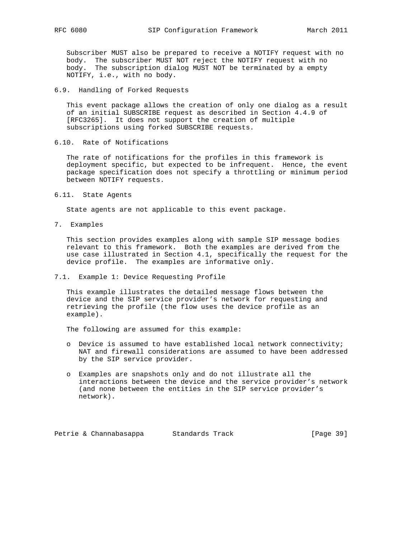Subscriber MUST also be prepared to receive a NOTIFY request with no body. The subscriber MUST NOT reject the NOTIFY request with no body. The subscription dialog MUST NOT be terminated by a empty NOTIFY, i.e., with no body.

### 6.9. Handling of Forked Requests

 This event package allows the creation of only one dialog as a result of an initial SUBSCRIBE request as described in Section 4.4.9 of [RFC3265]. It does not support the creation of multiple subscriptions using forked SUBSCRIBE requests.

6.10. Rate of Notifications

 The rate of notifications for the profiles in this framework is deployment specific, but expected to be infrequent. Hence, the event package specification does not specify a throttling or minimum period between NOTIFY requests.

6.11. State Agents

State agents are not applicable to this event package.

7. Examples

 This section provides examples along with sample SIP message bodies relevant to this framework. Both the examples are derived from the use case illustrated in Section 4.1, specifically the request for the device profile. The examples are informative only.

### 7.1. Example 1: Device Requesting Profile

 This example illustrates the detailed message flows between the device and the SIP service provider's network for requesting and retrieving the profile (the flow uses the device profile as an example).

The following are assumed for this example:

- o Device is assumed to have established local network connectivity; NAT and firewall considerations are assumed to have been addressed by the SIP service provider.
- o Examples are snapshots only and do not illustrate all the interactions between the device and the service provider's network (and none between the entities in the SIP service provider's network).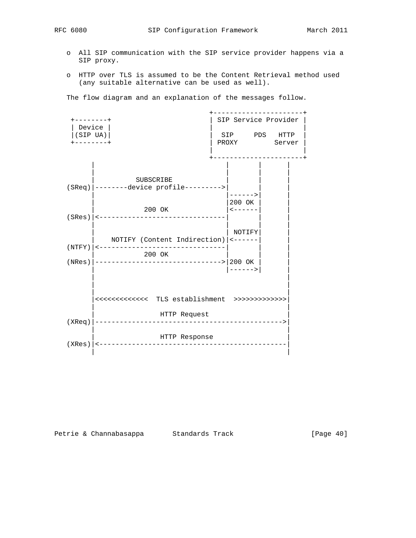- o All SIP communication with the SIP service provider happens via a SIP proxy.
- o HTTP over TLS is assumed to be the Content Retrieval method used (any suitable alternative can be used as well).

The flow diagram and an explanation of the messages follow.



Petrie & Channabasappa Standards Track [Page 40]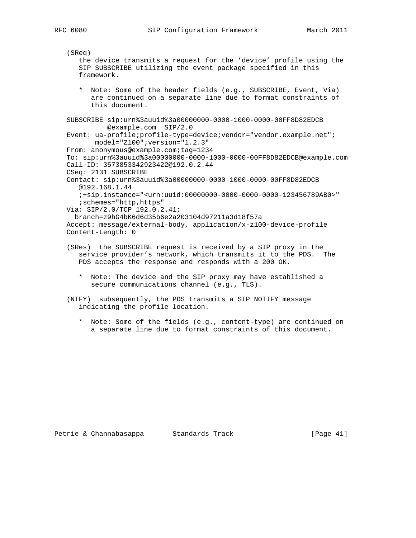```
 (SReq)
    the device transmits a request for the 'device' profile using the
    SIP SUBSCRIBE utilizing the event package specified in this
    framework.
    * Note: Some of the header fields (e.g., SUBSCRIBE, Event, Via)
       are continued on a separate line due to format constraints of
       this document.
 SUBSCRIBE sip:urn%3auuid%3a00000000-0000-1000-0000-00FF8D82EDCB
          @example.com SIP/2.0
 Event: ua-profile;profile-type=device;vendor="vendor.example.net";
       model="Z100";version="1.2.3"
From: anonymous@example.com;tag=1234
 To: sip:urn%3auuid%3a00000000-0000-1000-0000-00FF8D82EDCB@example.com
 Call-ID: 3573853342923422@192.0.2.44
 CSeq: 2131 SUBSCRIBE
 Contact: sip:urn%3auuid%3a00000000-0000-1000-0000-00FF8D82EDCB
   @192.168.1.44
    ;+sip.instance="<urn:uuid:00000000-0000-0000-0000-123456789AB0>"
   ;schemes="http,https"
 Via: SIP/2.0/TCP 192.0.2.41;
  branch=z9hG4bK6d6d35b6e2a203104d97211a3d18f57a
 Accept: message/external-body, application/x-z100-device-profile
 Content-Length: 0
 (SRes) the SUBSCRIBE request is received by a SIP proxy in the
    service provider's network, which transmits it to the PDS. The
    PDS accepts the response and responds with a 200 OK.
    * Note: The device and the SIP proxy may have established a
     secure communications channel (e.g., TLS).
```

```
 (NTFY) subsequently, the PDS transmits a SIP NOTIFY message
   indicating the profile location.
```
 \* Note: Some of the fields (e.g., content-type) are continued on a separate line due to format constraints of this document.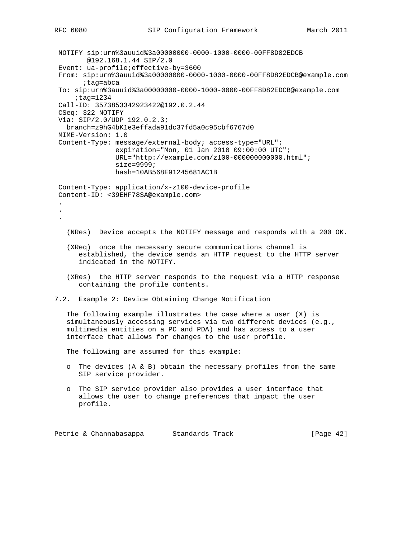NOTIFY sip:urn%3auuid%3a00000000-0000-1000-0000-00FF8D82EDCB @192.168.1.44 SIP/2.0 Event: ua-profile;effective-by=3600 From: sip:urn%3auuid%3a00000000-0000-1000-0000-00FF8D82EDCB@example.com ;tag=abca To: sip:urn%3auuid%3a00000000-0000-1000-0000-00FF8D82EDCB@example.com ;tag=1234 Call-ID: 3573853342923422@192.0.2.44 CSeq: 322 NOTIFY Via: SIP/2.0/UDP 192.0.2.3; branch=z9hG4bK1e3effada91dc37fd5a0c95cbf6767d0 MIME-Version: 1.0 Content-Type: message/external-body; access-type="URL"; expiration="Mon, 01 Jan 2010 09:00:00 UTC"; URL="http://example.com/z100-000000000000.html"; size=9999; hash=10AB568E91245681AC1B Content-Type: application/x-z100-device-profile Content-ID: <39EHF78SA@example.com> . . . (NRes) Device accepts the NOTIFY message and responds with a 200 OK. (XReq) once the necessary secure communications channel is established, the device sends an HTTP request to the HTTP server indicated in the NOTIFY. (XRes) the HTTP server responds to the request via a HTTP response containing the profile contents. 7.2. Example 2: Device Obtaining Change Notification The following example illustrates the case where a user  $(X)$  is simultaneously accessing services via two different devices (e.g., multimedia entities on a PC and PDA) and has access to a user interface that allows for changes to the user profile. The following are assumed for this example: o The devices (A & B) obtain the necessary profiles from the same SIP service provider. o The SIP service provider also provides a user interface that allows the user to change preferences that impact the user profile. Petrie & Channabasappa Standards Track [Page 42]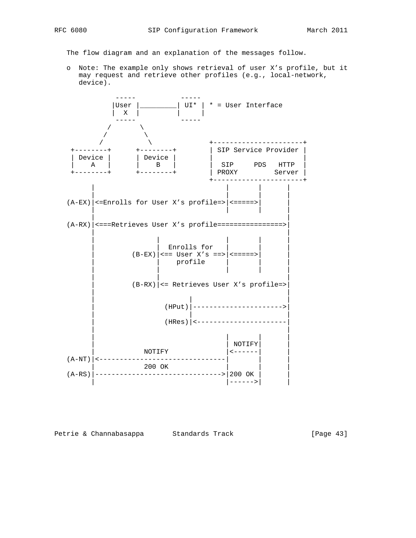The flow diagram and an explanation of the messages follow.

 o Note: The example only shows retrieval of user X's profile, but it may request and retrieve other profiles (e.g., local-network, device).



Petrie & Channabasappa Standards Track [Page 43]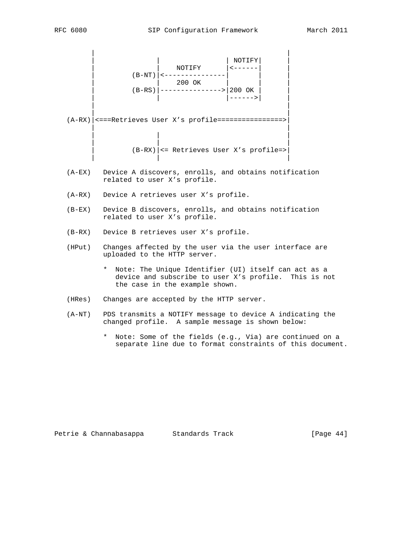|          | NOTIFY<br>$(B-RS)$ 200 OK<br>$\begin{vmatrix} 200 & \text{OK} \\ -200 & \text{OK} \\ 200 & \text{OK} \end{vmatrix}$                                  |
|----------|------------------------------------------------------------------------------------------------------------------------------------------------------|
|          | $(A-RX)$   <===Retrieves User X's profile=================>><br>$(B-RX)$   <= Retrieves User X's profile=>                                           |
| (A-EX)   | Device A discovers, enrolls, and obtains notification<br>related to user X's profile.                                                                |
|          | (A-RX) Device A retrieves user X's profile.                                                                                                          |
| $(B-EX)$ | Device B discovers, enrolls, and obtains notification<br>related to user X's profile.                                                                |
|          | (B-RX) Device B retrieves user X's profile.                                                                                                          |
| (HPut)   | Changes affected by the user via the user interface are<br>uploaded to the HTTP server.                                                              |
|          | Note: The Unique Identifier (UI) itself can act as a<br>*<br>device and subscribe to user X's profile. This is not<br>the case in the example shown. |
| (HRes)   | Changes are accepted by the HTTP server.                                                                                                             |
| (A-NT)   | PDS transmits a NOTIFY message to device A indicating the<br>changed profile. A sample message is shown below:                                       |

 \* Note: Some of the fields (e.g., Via) are continued on a separate line due to format constraints of this document.

| Petrie & Channabasappa | Standards Track |  |
|------------------------|-----------------|--|
|------------------------|-----------------|--|

 $[Page 44]$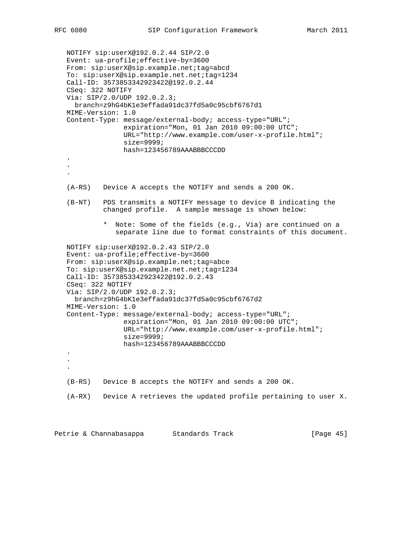```
 NOTIFY sip:userX@192.0.2.44 SIP/2.0
   Event: ua-profile;effective-by=3600
   From: sip:userX@sip.example.net;tag=abcd
   To: sip:userX@sip.example.net.net;tag=1234
   Call-ID: 3573853342923422@192.0.2.44
   CSeq: 322 NOTIFY
   Via: SIP/2.0/UDP 192.0.2.3;
     branch=z9hG4bK1e3effada91dc37fd5a0c95cbf6767d1
   MIME-Version: 1.0
   Content-Type: message/external-body; access-type="URL";
                  expiration="Mon, 01 Jan 2010 09:00:00 UTC";
                  URL="http://www.example.com/user-x-profile.html";
                  size=9999;
                  hash=123456789AAABBBCCCDD
    .
    .
 .
   (A-RS) Device A accepts the NOTIFY and sends a 200 OK.
   (B-NT) PDS transmits a NOTIFY message to device B indicating the
            changed profile. A sample message is shown below:
             * Note: Some of the fields (e.g., Via) are continued on a
                separate line due to format constraints of this document.
   NOTIFY sip:userX@192.0.2.43 SIP/2.0
   Event: ua-profile;effective-by=3600
   From: sip:userX@sip.example.net;tag=abce
   To: sip:userX@sip.example.net.net;tag=1234
   Call-ID: 3573853342923422@192.0.2.43
   CSeq: 322 NOTIFY
   Via: SIP/2.0/UDP 192.0.2.3;
     branch=z9hG4bK1e3effada91dc37fd5a0c95cbf6767d2
   MIME-Version: 1.0
   Content-Type: message/external-body; access-type="URL";
                 expiration="Mon, 01 Jan 2010 09:00:00 UTC";
                  URL="http://www.example.com/user-x-profile.html";
                  size=9999;
                  hash=123456789AAABBBCCCDD
 .
    .
 .
   (B-RS) Device B accepts the NOTIFY and sends a 200 OK.
   (A-RX) Device A retrieves the updated profile pertaining to user X.
```
Petrie & Channabasappa Standards Track [Page 45]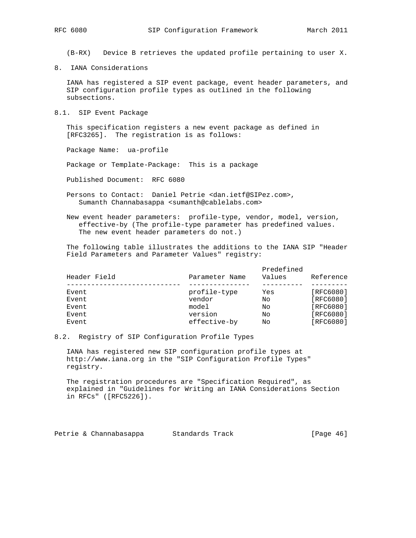(B-RX) Device B retrieves the updated profile pertaining to user X.

8. IANA Considerations

 IANA has registered a SIP event package, event header parameters, and SIP configuration profile types as outlined in the following subsections.

8.1. SIP Event Package

 This specification registers a new event package as defined in [RFC3265]. The registration is as follows:

Package Name: ua-profile

Package or Template-Package: This is a package

Published Document: RFC 6080

- Persons to Contact: Daniel Petrie <dan.ietf@SIPez.com>, Sumanth Channabasappa <sumanth@cablelabs.com>
- New event header parameters: profile-type, vendor, model, version, effective-by (The profile-type parameter has predefined values. The new event header parameters do not.)

 The following table illustrates the additions to the IANA SIP "Header Field Parameters and Parameter Values" registry:

| Parameter Name |     | Reference                              |
|----------------|-----|----------------------------------------|
| profile-type   | Yes | [RFC6080]                              |
| vendor         |     | [RFC6080]                              |
| model          |     | [RFC6080]                              |
| version        |     | [RFC6080]                              |
| effective-by   | No  | [RFC6080]                              |
|                |     | Predefined<br>Values<br>No<br>Nο<br>No |

### 8.2. Registry of SIP Configuration Profile Types

 IANA has registered new SIP configuration profile types at http://www.iana.org in the "SIP Configuration Profile Types" registry.

 The registration procedures are "Specification Required", as explained in "Guidelines for Writing an IANA Considerations Section in RFCs" ([RFC5226]).

Petrie & Channabasappa Standards Track [Page 46]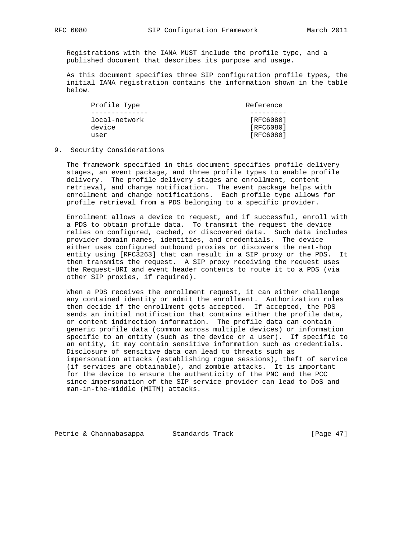Registrations with the IANA MUST include the profile type, and a published document that describes its purpose and usage.

 As this document specifies three SIP configuration profile types, the initial IANA registration contains the information shown in the table below.

| Profile Type  | Reference |
|---------------|-----------|
|               |           |
| local-network | [RFC6080] |
| device        | [RFC6080] |
| user          | [RFC6080] |

### 9. Security Considerations

 The framework specified in this document specifies profile delivery stages, an event package, and three profile types to enable profile delivery. The profile delivery stages are enrollment, content retrieval, and change notification. The event package helps with enrollment and change notifications. Each profile type allows for profile retrieval from a PDS belonging to a specific provider.

 Enrollment allows a device to request, and if successful, enroll with a PDS to obtain profile data. To transmit the request the device relies on configured, cached, or discovered data. Such data includes provider domain names, identities, and credentials. The device either uses configured outbound proxies or discovers the next-hop entity using [RFC3263] that can result in a SIP proxy or the PDS. It then transmits the request. A SIP proxy receiving the request uses the Request-URI and event header contents to route it to a PDS (via other SIP proxies, if required).

 When a PDS receives the enrollment request, it can either challenge any contained identity or admit the enrollment. Authorization rules then decide if the enrollment gets accepted. If accepted, the PDS sends an initial notification that contains either the profile data, or content indirection information. The profile data can contain generic profile data (common across multiple devices) or information specific to an entity (such as the device or a user). If specific to an entity, it may contain sensitive information such as credentials. Disclosure of sensitive data can lead to threats such as impersonation attacks (establishing rogue sessions), theft of service (if services are obtainable), and zombie attacks. It is important for the device to ensure the authenticity of the PNC and the PCC since impersonation of the SIP service provider can lead to DoS and man-in-the-middle (MITM) attacks.

Petrie & Channabasappa Standards Track [Page 47]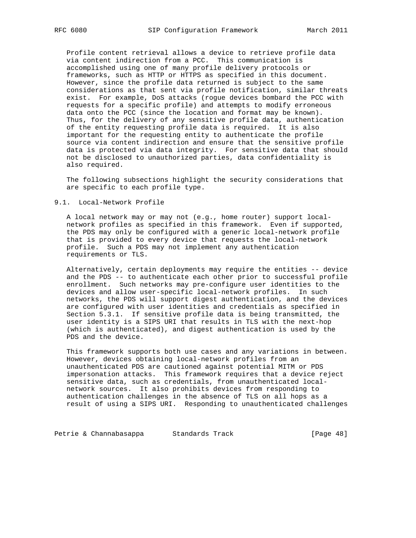Profile content retrieval allows a device to retrieve profile data via content indirection from a PCC. This communication is accomplished using one of many profile delivery protocols or frameworks, such as HTTP or HTTPS as specified in this document. However, since the profile data returned is subject to the same considerations as that sent via profile notification, similar threats exist. For example, DoS attacks (rogue devices bombard the PCC with requests for a specific profile) and attempts to modify erroneous data onto the PCC (since the location and format may be known). Thus, for the delivery of any sensitive profile data, authentication of the entity requesting profile data is required. It is also important for the requesting entity to authenticate the profile source via content indirection and ensure that the sensitive profile data is protected via data integrity. For sensitive data that should not be disclosed to unauthorized parties, data confidentiality is also required.

 The following subsections highlight the security considerations that are specific to each profile type.

### 9.1. Local-Network Profile

 A local network may or may not (e.g., home router) support local network profiles as specified in this framework. Even if supported, the PDS may only be configured with a generic local-network profile that is provided to every device that requests the local-network profile. Such a PDS may not implement any authentication requirements or TLS.

 Alternatively, certain deployments may require the entities -- device and the PDS -- to authenticate each other prior to successful profile enrollment. Such networks may pre-configure user identities to the devices and allow user-specific local-network profiles. In such networks, the PDS will support digest authentication, and the devices are configured with user identities and credentials as specified in Section 5.3.1. If sensitive profile data is being transmitted, the user identity is a SIPS URI that results in TLS with the next-hop (which is authenticated), and digest authentication is used by the PDS and the device.

 This framework supports both use cases and any variations in between. However, devices obtaining local-network profiles from an unauthenticated PDS are cautioned against potential MITM or PDS impersonation attacks. This framework requires that a device reject sensitive data, such as credentials, from unauthenticated local network sources. It also prohibits devices from responding to authentication challenges in the absence of TLS on all hops as a result of using a SIPS URI. Responding to unauthenticated challenges

Petrie & Channabasappa Standards Track [Page 48]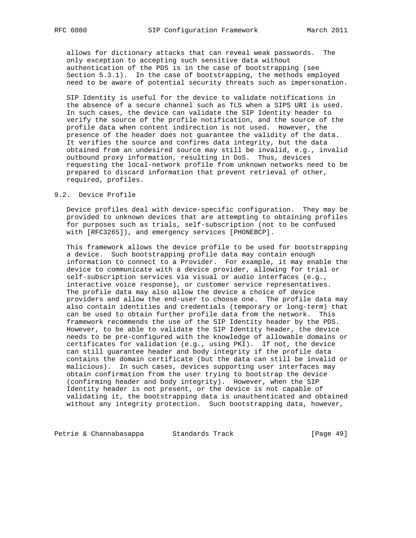allows for dictionary attacks that can reveal weak passwords. The only exception to accepting such sensitive data without authentication of the PDS is in the case of bootstrapping (see Section 5.3.1). In the case of bootstrapping, the methods employed need to be aware of potential security threats such as impersonation.

 SIP Identity is useful for the device to validate notifications in the absence of a secure channel such as TLS when a SIPS URI is used. In such cases, the device can validate the SIP Identity header to verify the source of the profile notification, and the source of the profile data when content indirection is not used. However, the presence of the header does not guarantee the validity of the data. It verifies the source and confirms data integrity, but the data obtained from an undesired source may still be invalid, e.g., invalid outbound proxy information, resulting in DoS. Thus, devices requesting the local-network profile from unknown networks need to be prepared to discard information that prevent retrieval of other, required, profiles.

### 9.2. Device Profile

 Device profiles deal with device-specific configuration. They may be provided to unknown devices that are attempting to obtaining profiles for purposes such as trials, self-subscription (not to be confused with [RFC3265]), and emergency services [PHONEBCP].

 This framework allows the device profile to be used for bootstrapping a device. Such bootstrapping profile data may contain enough information to connect to a Provider. For example, it may enable the device to communicate with a device provider, allowing for trial or self-subscription services via visual or audio interfaces (e.g., interactive voice response), or customer service representatives. The profile data may also allow the device a choice of device providers and allow the end-user to choose one. The profile data may also contain identities and credentials (temporary or long-term) that can be used to obtain further profile data from the network. This framework recommends the use of the SIP Identity header by the PDS. However, to be able to validate the SIP Identity header, the device needs to be pre-configured with the knowledge of allowable domains or certificates for validation (e.g., using PKI). If not, the device can still guarantee header and body integrity if the profile data contains the domain certificate (but the data can still be invalid or malicious). In such cases, devices supporting user interfaces may obtain confirmation from the user trying to bootstrap the device (confirming header and body integrity). However, when the SIP Identity header is not present, or the device is not capable of validating it, the bootstrapping data is unauthenticated and obtained without any integrity protection. Such bootstrapping data, however,

Petrie & Channabasappa Standards Track [Page 49]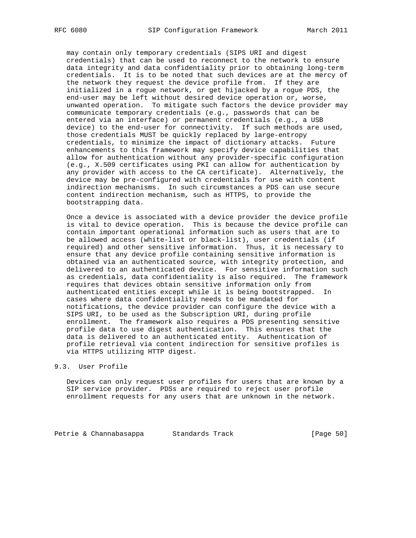may contain only temporary credentials (SIPS URI and digest credentials) that can be used to reconnect to the network to ensure data integrity and data confidentiality prior to obtaining long-term credentials. It is to be noted that such devices are at the mercy of the network they request the device profile from. If they are initialized in a rogue network, or get hijacked by a rogue PDS, the end-user may be left without desired device operation or, worse, unwanted operation. To mitigate such factors the device provider may communicate temporary credentials (e.g., passwords that can be entered via an interface) or permanent credentials (e.g., a USB device) to the end-user for connectivity. If such methods are used, those credentials MUST be quickly replaced by large-entropy credentials, to minimize the impact of dictionary attacks. Future enhancements to this framework may specify device capabilities that allow for authentication without any provider-specific configuration (e.g., X.509 certificates using PKI can allow for authentication by any provider with access to the CA certificate). Alternatively, the device may be pre-configured with credentials for use with content indirection mechanisms. In such circumstances a PDS can use secure content indirection mechanism, such as HTTPS, to provide the bootstrapping data.

 Once a device is associated with a device provider the device profile is vital to device operation. This is because the device profile can contain important operational information such as users that are to be allowed access (white-list or black-list), user credentials (if required) and other sensitive information. Thus, it is necessary to ensure that any device profile containing sensitive information is obtained via an authenticated source, with integrity protection, and delivered to an authenticated device. For sensitive information such as credentials, data confidentiality is also required. The framework requires that devices obtain sensitive information only from authenticated entities except while it is being bootstrapped. In cases where data confidentiality needs to be mandated for notifications, the device provider can configure the device with a SIPS URI, to be used as the Subscription URI, during profile enrollment. The framework also requires a PDS presenting sensitive profile data to use digest authentication. This ensures that the data is delivered to an authenticated entity. Authentication of profile retrieval via content indirection for sensitive profiles is via HTTPS utilizing HTTP digest.

# 9.3. User Profile

 Devices can only request user profiles for users that are known by a SIP service provider. PDSs are required to reject user profile enrollment requests for any users that are unknown in the network.

Petrie & Channabasappa Standards Track [Page 50]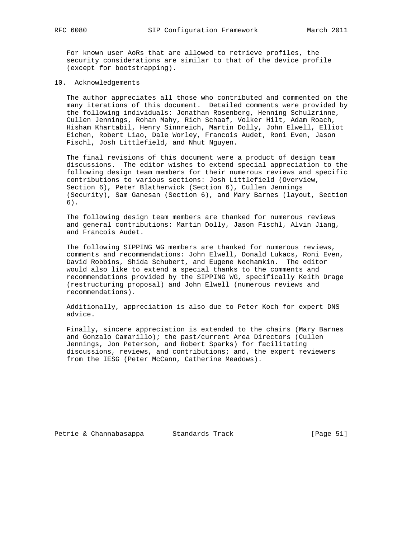For known user AoRs that are allowed to retrieve profiles, the security considerations are similar to that of the device profile (except for bootstrapping).

10. Acknowledgements

 The author appreciates all those who contributed and commented on the many iterations of this document. Detailed comments were provided by the following individuals: Jonathan Rosenberg, Henning Schulzrinne, Cullen Jennings, Rohan Mahy, Rich Schaaf, Volker Hilt, Adam Roach, Hisham Khartabil, Henry Sinnreich, Martin Dolly, John Elwell, Elliot Eichen, Robert Liao, Dale Worley, Francois Audet, Roni Even, Jason Fischl, Josh Littlefield, and Nhut Nguyen.

 The final revisions of this document were a product of design team discussions. The editor wishes to extend special appreciation to the following design team members for their numerous reviews and specific contributions to various sections: Josh Littlefield (Overview, Section 6), Peter Blatherwick (Section 6), Cullen Jennings (Security), Sam Ganesan (Section 6), and Mary Barnes (layout, Section 6).

 The following design team members are thanked for numerous reviews and general contributions: Martin Dolly, Jason Fischl, Alvin Jiang, and Francois Audet.

 The following SIPPING WG members are thanked for numerous reviews, comments and recommendations: John Elwell, Donald Lukacs, Roni Even, David Robbins, Shida Schubert, and Eugene Nechamkin. The editor would also like to extend a special thanks to the comments and recommendations provided by the SIPPING WG, specifically Keith Drage (restructuring proposal) and John Elwell (numerous reviews and recommendations).

 Additionally, appreciation is also due to Peter Koch for expert DNS advice.

 Finally, sincere appreciation is extended to the chairs (Mary Barnes and Gonzalo Camarillo); the past/current Area Directors (Cullen Jennings, Jon Peterson, and Robert Sparks) for facilitating discussions, reviews, and contributions; and, the expert reviewers from the IESG (Peter McCann, Catherine Meadows).

Petrie & Channabasappa Standards Track [Page 51]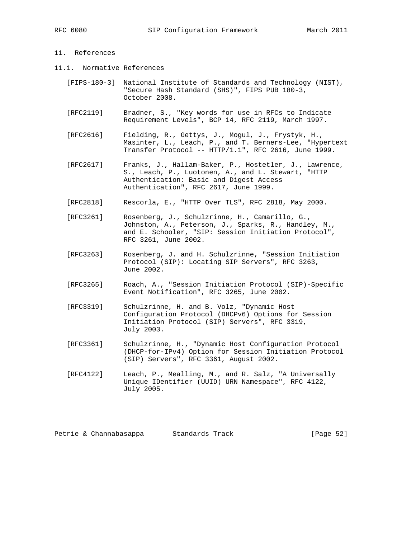# 11. References

- 11.1. Normative References
	- [FIPS-180-3] National Institute of Standards and Technology (NIST), "Secure Hash Standard (SHS)", FIPS PUB 180-3, October 2008.
	- [RFC2119] Bradner, S., "Key words for use in RFCs to Indicate Requirement Levels", BCP 14, RFC 2119, March 1997.
	- [RFC2616] Fielding, R., Gettys, J., Mogul, J., Frystyk, H., Masinter, L., Leach, P., and T. Berners-Lee, "Hypertext Transfer Protocol -- HTTP/1.1", RFC 2616, June 1999.
	- [RFC2617] Franks, J., Hallam-Baker, P., Hostetler, J., Lawrence, S., Leach, P., Luotonen, A., and L. Stewart, "HTTP Authentication: Basic and Digest Access Authentication", RFC 2617, June 1999.
	- [RFC2818] Rescorla, E., "HTTP Over TLS", RFC 2818, May 2000.
	- [RFC3261] Rosenberg, J., Schulzrinne, H., Camarillo, G., Johnston, A., Peterson, J., Sparks, R., Handley, M., and E. Schooler, "SIP: Session Initiation Protocol", RFC 3261, June 2002.
	- [RFC3263] Rosenberg, J. and H. Schulzrinne, "Session Initiation Protocol (SIP): Locating SIP Servers", RFC 3263, June 2002.
	- [RFC3265] Roach, A., "Session Initiation Protocol (SIP)-Specific Event Notification", RFC 3265, June 2002.
	- [RFC3319] Schulzrinne, H. and B. Volz, "Dynamic Host Configuration Protocol (DHCPv6) Options for Session Initiation Protocol (SIP) Servers", RFC 3319, July 2003.
	- [RFC3361] Schulzrinne, H., "Dynamic Host Configuration Protocol (DHCP-for-IPv4) Option for Session Initiation Protocol (SIP) Servers", RFC 3361, August 2002.
	- [RFC4122] Leach, P., Mealling, M., and R. Salz, "A Universally Unique IDentifier (UUID) URN Namespace", RFC 4122, July 2005.

Petrie & Channabasappa Standards Track [Page 52]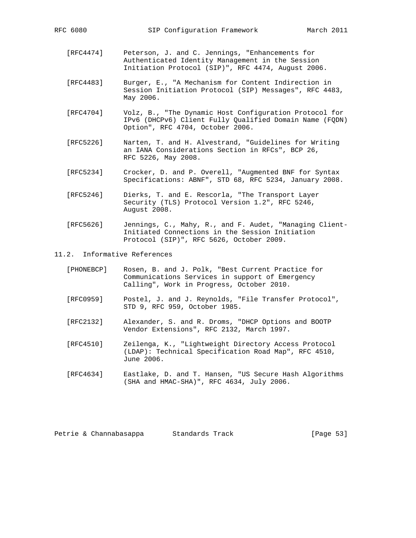- [RFC4474] Peterson, J. and C. Jennings, "Enhancements for Authenticated Identity Management in the Session Initiation Protocol (SIP)", RFC 4474, August 2006.
- [RFC4483] Burger, E., "A Mechanism for Content Indirection in Session Initiation Protocol (SIP) Messages", RFC 4483, May 2006.
- [RFC4704] Volz, B., "The Dynamic Host Configuration Protocol for IPv6 (DHCPv6) Client Fully Qualified Domain Name (FQDN) Option", RFC 4704, October 2006.
- [RFC5226] Narten, T. and H. Alvestrand, "Guidelines for Writing an IANA Considerations Section in RFCs", BCP 26, RFC 5226, May 2008.
- [RFC5234] Crocker, D. and P. Overell, "Augmented BNF for Syntax Specifications: ABNF", STD 68, RFC 5234, January 2008.
- [RFC5246] Dierks, T. and E. Rescorla, "The Transport Layer Security (TLS) Protocol Version 1.2", RFC 5246, August 2008.
- [RFC5626] Jennings, C., Mahy, R., and F. Audet, "Managing Client- Initiated Connections in the Session Initiation Protocol (SIP)", RFC 5626, October 2009.

### 11.2. Informative References

| [PHONEBCP] | Rosen, B. and J. Polk, "Best Current Practice for |  |  |  |  |  |
|------------|---------------------------------------------------|--|--|--|--|--|
|            | Communications Services in support of Emergency   |  |  |  |  |  |
|            | Calling", Work in Progress, October 2010.         |  |  |  |  |  |

- [RFC0959] Postel, J. and J. Reynolds, "File Transfer Protocol", STD 9, RFC 959, October 1985.
- [RFC2132] Alexander, S. and R. Droms, "DHCP Options and BOOTP Vendor Extensions", RFC 2132, March 1997.
- [RFC4510] Zeilenga, K., "Lightweight Directory Access Protocol (LDAP): Technical Specification Road Map", RFC 4510, June 2006.
- [RFC4634] Eastlake, D. and T. Hansen, "US Secure Hash Algorithms (SHA and HMAC-SHA)", RFC 4634, July 2006.

Petrie & Channabasappa Standards Track [Page 53]